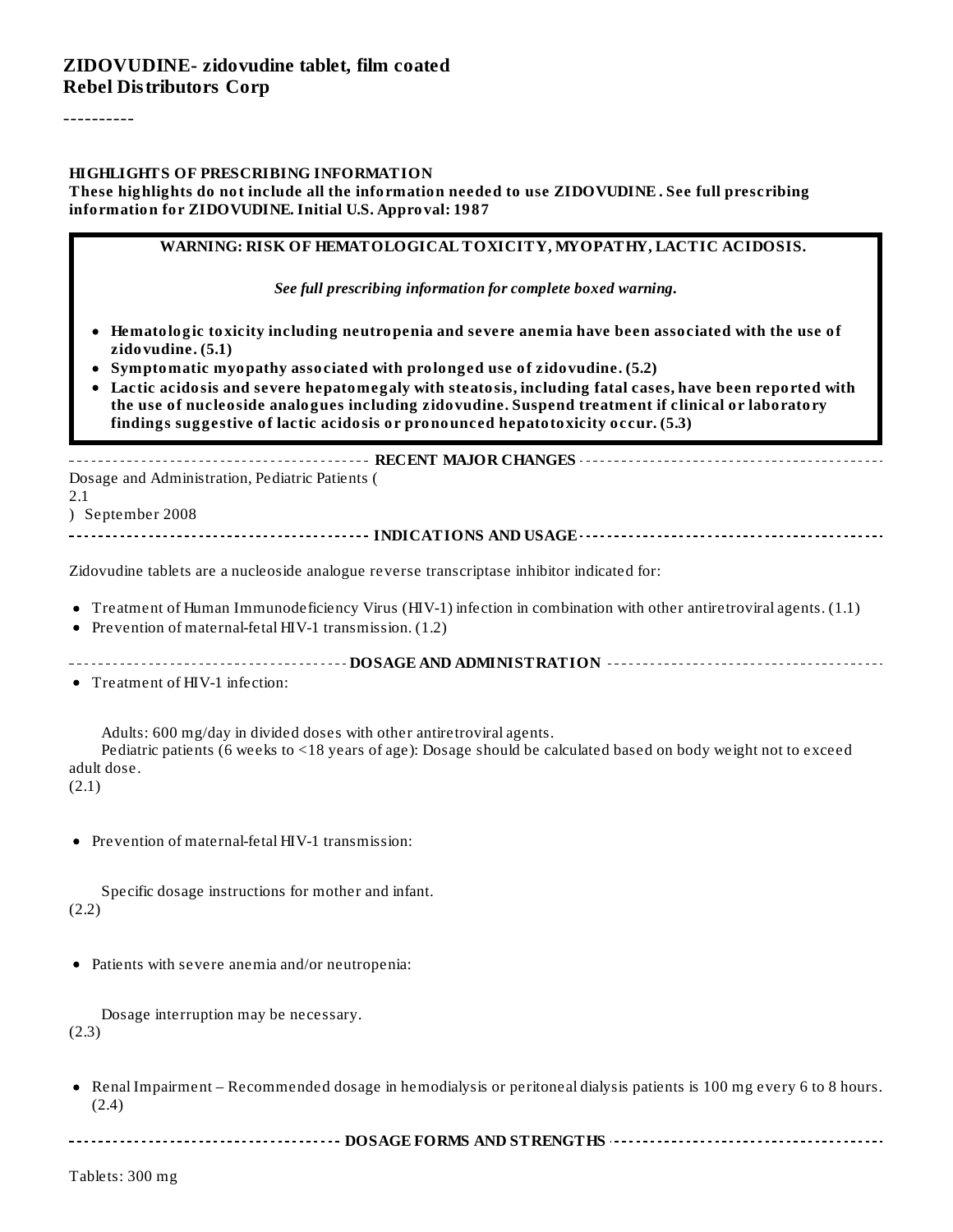#### **ZIDOVUDINE- zidovudine tablet, film coated Rebel Distributors Corp**

----------

#### **HIGHLIGHTS OF PRESCRIBING INFORMATION**

**These highlights do not include all the information needed to use ZIDOVUDINE . See full prescribing information for ZIDOVUDINE. Initial U.S. Approval: 1987**

| WARNING: RISK OF HEMATOLOGICAL TOXICITY, MYOPATHY, LACTIC ACIDOSIS. |  |
|---------------------------------------------------------------------|--|
|---------------------------------------------------------------------|--|

*See full prescribing information for complete boxed warning.*

- **Hematologic toxicity including neutropenia and severe anemia have been associated with the use of zidovudine. (5.1)**
- **Symptomatic myopathy associated with prolonged use of zidovudine. (5.2)**
- **Lactic acidosis and severe hepatomegaly with steatosis, including fatal cases, have been reported with the use of nucleoside analogues including zidovudine. Suspend treatment if clinical or laboratory findings suggestive of lactic acidosis or pronounced hepatotoxicity occur. (5.3)**

**RECENT MAJOR CHANGES** Dosage and Administration, Pediatric Patients ( 2.1 ) September 2008 **INDICATIONS AND USAGE**

Zidovudine tablets are a nucleoside analogue reverse transcriptase inhibitor indicated for:

- Treatment of Human Immunodeficiency Virus (HIV-1) infection in combination with other antiretroviral agents. (1.1)
- Prevention of maternal-fetal HIV-1 transmission. (1.2)
- **DOSAGE AND ADMINISTRATION**

Treatment of HIV-1 infection:

Adults: 600 mg/day in divided doses with other antiretroviral agents.

Pediatric patients (6 weeks to <18 years of age): Dosage should be calculated based on body weight not to exceed adult dose.

(2.1)

Prevention of maternal-fetal HIV-1 transmission:

Specific dosage instructions for mother and infant. (2.2)

Patients with severe anemia and/or neutropenia:

Dosage interruption may be necessary. (2.3)

- Renal Impairment Recommended dosage in hemodialysis or peritoneal dialysis patients is 100 mg every 6 to 8 hours.  $\bullet$ (2.4)
- **DOSAGE FORMS AND STRENGTHS**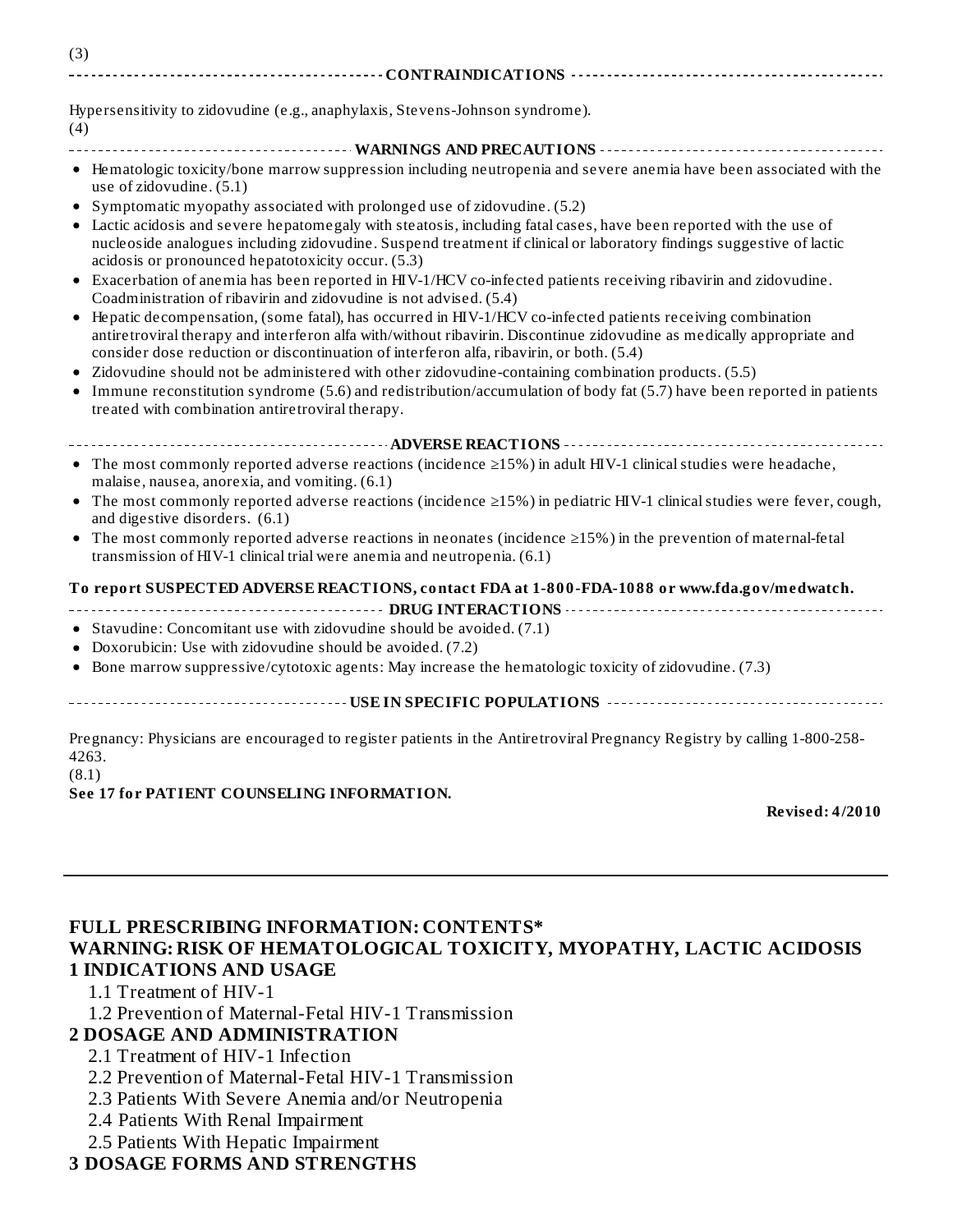| (3) |  |
|-----|--|
|     |  |
|     |  |
|     |  |

Hypersensitivity to zidovudine (e.g., anaphylaxis, Stevens-Johnson syndrome). (4)

- **WARNINGS AND PRECAUTIONS**
- Hematologic toxicity/bone marrow suppression including neutropenia and severe anemia have been associated with the use of zidovudine. (5.1)
- Symptomatic myopathy associated with prolonged use of zidovudine. (5.2)
- Lactic acidosis and severe hepatomegaly with steatosis, including fatal cases, have been reported with the use of  $\bullet$ nucleoside analogues including zidovudine. Suspend treatment if clinical or laboratory findings suggestive of lactic acidosis or pronounced hepatotoxicity occur. (5.3)
- Exacerbation of anemia has been reported in HIV-1/HCV co-infected patients receiving ribavirin and zidovudine.  $\bullet$ Coadministration of ribavirin and zidovudine is not advised. (5.4)
- Hepatic decompensation, (some fatal), has occurred in HIV-1/HCV co-infected patients receiving combination antiretroviral therapy and interferon alfa with/without ribavirin. Discontinue zidovudine as medically appropriate and consider dose reduction or discontinuation of interferon alfa, ribavirin, or both. (5.4)
- Zidovudine should not be administered with other zidovudine-containing combination products. (5.5)
- $\bullet$ Immune reconstitution syndrome (5.6) and redistribution/accumulation of body fat (5.7) have been reported in patients treated with combination antiretroviral therapy.

**ADVERSE REACTIONS**

- The most commonly reported adverse reactions (incidence ≥15%) in adult HIV-1 clinicalstudies were headache, malaise, nausea, anorexia, and vomiting. (6.1)
- The most commonly reported adverse reactions (incidence ≥15%) in pediatric HIV-1 clinicalstudies were fever, cough, and digestive disorders. (6.1)
- The most commonly reported adverse reactions in neonates (incidence ≥15%) in the prevention of maternal-fetal  $\bullet$ transmission of HIV-1 clinical trial were anemia and neutropenia. (6.1)

#### **To report SUSPECTED ADVERSE REACTIONS, contact FDA at 1-800-FDA-1088 or www.fda.gov/medwatch.**

- **DRUG INTERACTIONS CONSERVATIONS CONSERVATIONS CONSERVATIONS CONSERVATIONS**
- Stavudine: Concomitant use with zidovudine should be avoided. (7.1)
- Doxorubicin: Use with zidovudine should be avoided. (7.2)
- Bone marrow suppressive/cytotoxic agents: May increase the hematologic toxicity of zidovudine. (7.3)  $\bullet$

**USE IN SPECIFIC POPULATIONS**

Pregnancy: Physicians are encouraged to register patients in the Antiretroviral Pregnancy Registry by calling 1-800-258- 4263.

#### (8.1) **See 17 for PATIENT COUNSELING INFORMATION.**

**Revised: 4/2010**

#### **FULL PRESCRIBING INFORMATION: CONTENTS\* WARNING: RISK OF HEMATOLOGICAL TOXICITY, MYOPATHY, LACTIC ACIDOSIS 1 INDICATIONS AND USAGE**

#### 1.1 Treatment of HIV-1

1.2 Prevention of Maternal-Fetal HIV-1 Transmission

#### **2 DOSAGE AND ADMINISTRATION**

- 2.1 Treatment of HIV-1 Infection
- 2.2 Prevention of Maternal-Fetal HIV-1 Transmission
- 2.3 Patients With Severe Anemia and/or Neutropenia
- 2.4 Patients With Renal Impairment
- 2.5 Patients With Hepatic Impairment

#### **3 DOSAGE FORMS AND STRENGTHS**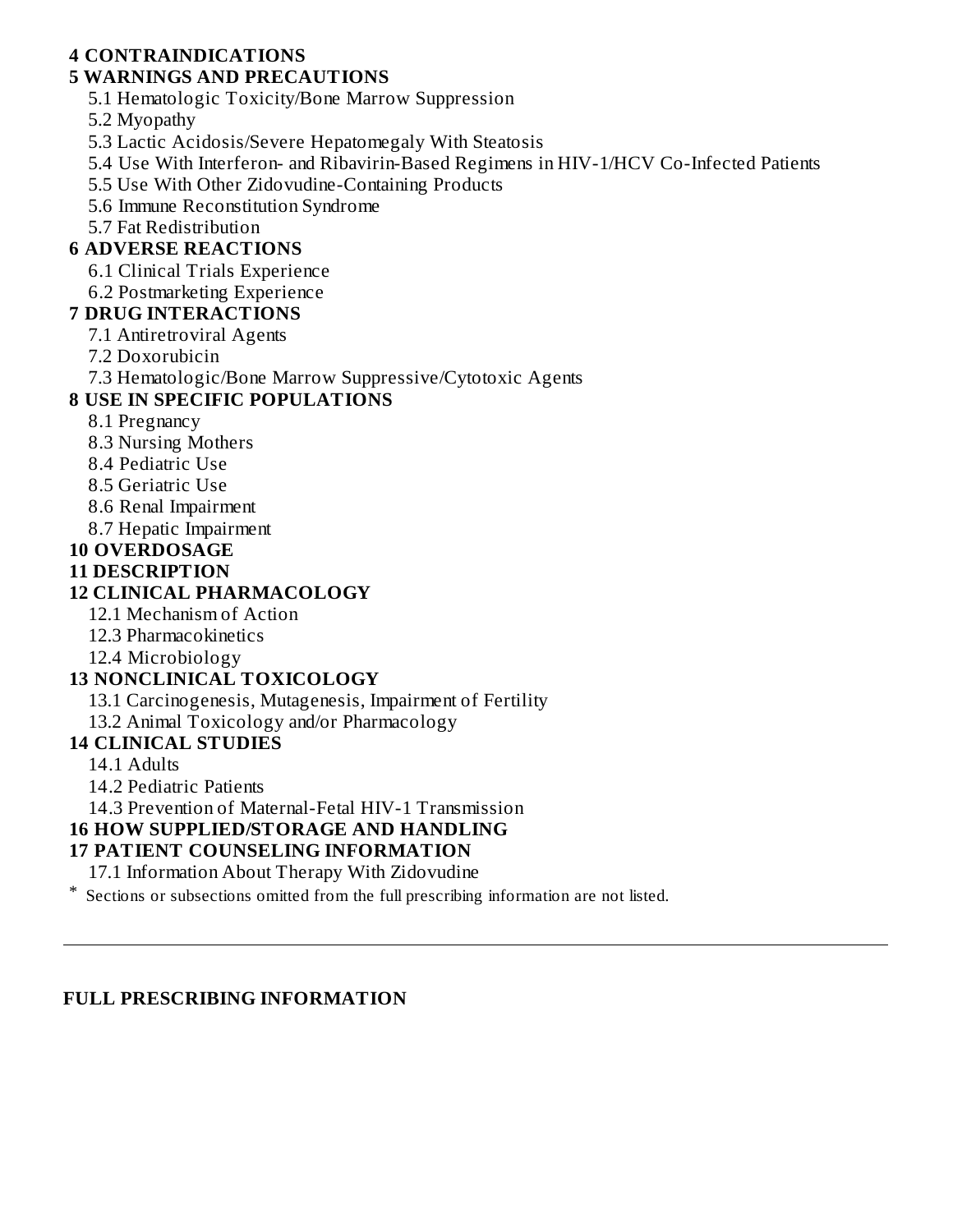### **4 CONTRAINDICATIONS**

### **5 WARNINGS AND PRECAUTIONS**

5.1 Hematologic Toxicity/Bone Marrow Suppression

5.2 Myopathy

- 5.3 Lactic Acidosis/Severe Hepatomegaly With Steatosis
- 5.4 Use With Interferon- and Ribavirin-Based Regimens in HIV-1/HCV Co-Infected Patients
- 5.5 Use With Other Zidovudine-Containing Products
- 5.6 Immune Reconstitution Syndrome
- 5.7 Fat Redistribution

### **6 ADVERSE REACTIONS**

- 6.1 Clinical Trials Experience
- 6.2 Postmarketing Experience

### **7 DRUG INTERACTIONS**

- 7.1 Antiretroviral Agents
- 7.2 Doxorubicin
- 7.3 Hematologic/Bone Marrow Suppressive/Cytotoxic Agents

### **8 USE IN SPECIFIC POPULATIONS**

- 8.1 Pregnancy
- 8.3 Nursing Mothers
- 8.4 Pediatric Use
- 8.5 Geriatric Use
- 8.6 Renal Impairment
- 8.7 Hepatic Impairment

### **10 OVERDOSAGE**

### **11 DESCRIPTION**

### **12 CLINICAL PHARMACOLOGY**

- 12.1 Mechanism of Action
- 12.3 Pharmacokinetics
- 12.4 Microbiology

### **13 NONCLINICAL TOXICOLOGY**

- 13.1 Carcinogenesis, Mutagenesis, Impairment of Fertility
- 13.2 Animal Toxicology and/or Pharmacology

### **14 CLINICAL STUDIES**

- 14.1 Adults
- 14.2 Pediatric Patients
- 14.3 Prevention of Maternal-Fetal HIV-1 Transmission

### **16 HOW SUPPLIED/STORAGE AND HANDLING**

### **17 PATIENT COUNSELING INFORMATION**

17.1 Information About Therapy With Zidovudine

\* Sections or subsections omitted from the full prescribing information are not listed.

### **FULL PRESCRIBING INFORMATION**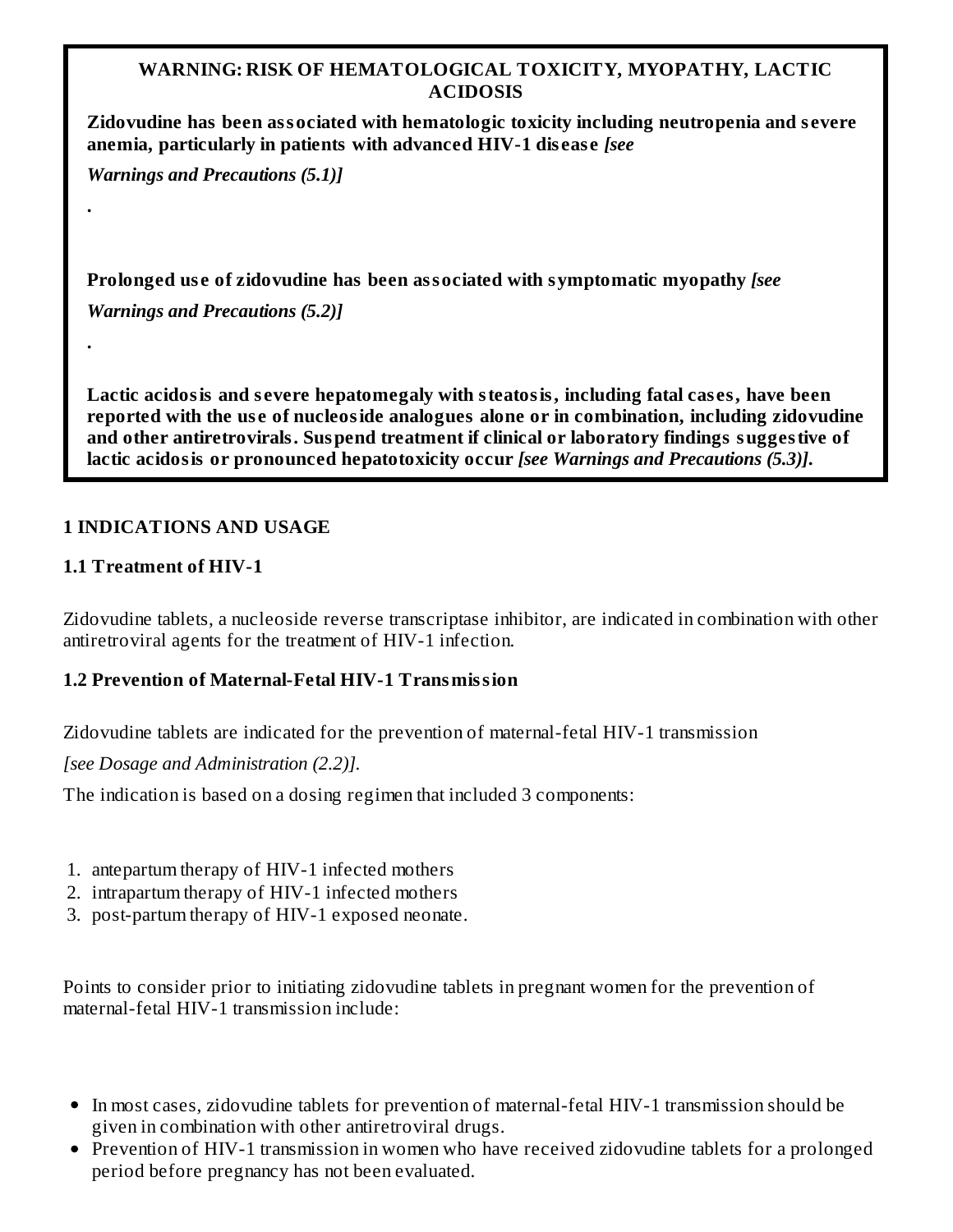### **WARNING: RISK OF HEMATOLOGICAL TOXICITY, MYOPATHY, LACTIC ACIDOSIS**

**Zidovudine has been associated with hematologic toxicity including neutropenia and s evere anemia, particularly in patients with advanced HIV-1 dis eas e** *[see*

*Warnings and Precautions (5.1)]*

**.**

**.**

**Prolonged us e of zidovudine has been associated with symptomatic myopathy** *[see*

*Warnings and Precautions (5.2)]*

**Lactic acidosis and s evere hepatomegaly with steatosis, including fatal cas es, have been reported with the us e of nucleoside analogues alone or in combination, including zidovudine and other antiretrovirals. Suspend treatment if clinical or laboratory findings suggestive of lactic acidosis or pronounced hepatotoxicity occur** *[see Warnings and Precautions (5.3)]***.**

### **1 INDICATIONS AND USAGE**

### **1.1 Treatment of HIV-1**

Zidovudine tablets, a nucleoside reverse transcriptase inhibitor, are indicated in combination with other antiretroviral agents for the treatment of HIV-1 infection.

### **1.2 Prevention of Maternal-Fetal HIV-1 Transmission**

Zidovudine tablets are indicated for the prevention of maternal-fetal HIV-1 transmission

*[see Dosage and Administration (2.2)].*

The indication is based on a dosing regimen that included 3 components:

- 1. antepartum therapy of HIV-1 infected mothers
- 2. intrapartum therapy of HIV-1 infected mothers
- 3. post-partum therapy of HIV-1 exposed neonate.

Points to consider prior to initiating zidovudine tablets in pregnant women for the prevention of maternal-fetal HIV-1 transmission include:

- In most cases, zidovudine tablets for prevention of maternal-fetal HIV-1 transmission should be given in combination with other antiretroviral drugs.
- Prevention of HIV-1 transmission in women who have received zidovudine tablets for a prolonged period before pregnancy has not been evaluated.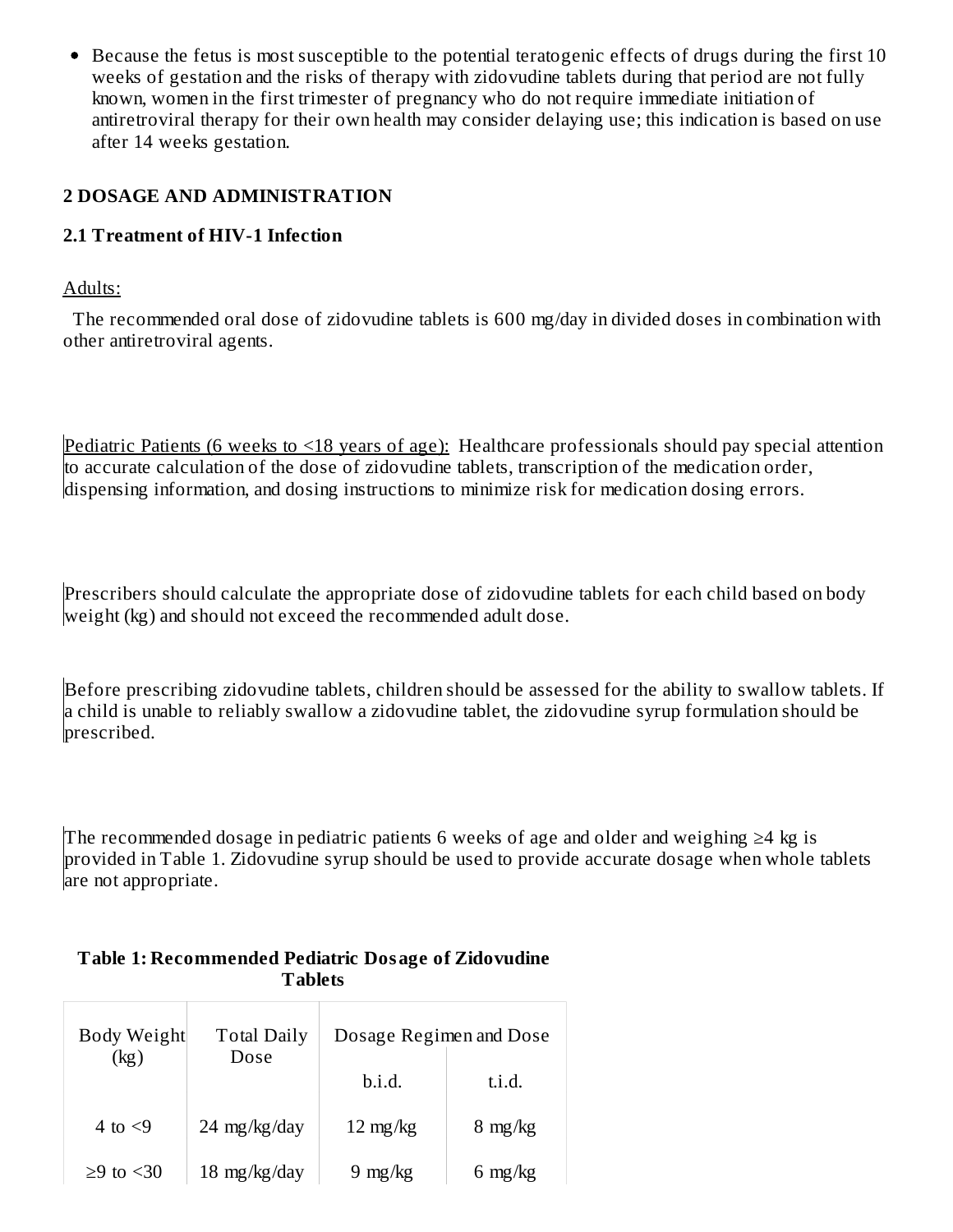• Because the fetus is most susceptible to the potential teratogenic effects of drugs during the first 10 weeks of gestation and the risks of therapy with zidovudine tablets during that period are not fully known, women in the first trimester of pregnancy who do not require immediate initiation of antiretroviral therapy for their own health may consider delaying use; this indication is based on use after 14 weeks gestation.

### **2 DOSAGE AND ADMINISTRATION**

#### **2.1 Treatment of HIV-1 Infection**

#### Adults:

The recommended oral dose of zidovudine tablets is 600 mg/day in divided doses in combination with other antiretroviral agents.

Pediatric Patients (6 weeks to <18 years of age): Healthcare professionals should pay special attention to accurate calculation of the dose of zidovudine tablets, transcription of the medication order, dispensing information, and dosing instructions to minimize risk for medication dosing errors.

Prescribers should calculate the appropriate dose of zidovudine tablets for each child based on body weight (kg) and should not exceed the recommended adult dose.

Before prescribing zidovudine tablets, children should be assessed for the ability to swallow tablets. If a child is unable to reliably swallow a zidovudine tablet, the zidovudine syrup formulation should be prescribed.

The recommended dosage in pediatric patients 6 weeks of age and older and weighing ≥4 kg is provided in Table 1. Zidovudine syrup should be used to provide accurate dosage when whole tablets are not appropriate.

# **Tablets** Τ

**Table 1: Recommended Pediatric Dosage of Zidovudine**

| Body Weight<br>(kg) | <b>Total Daily</b><br>Dose | Dosage Regimen and Dose |                   |
|---------------------|----------------------------|-------------------------|-------------------|
|                     |                            | b.i.d.                  | t.i.d.            |
| 4 to $\leq$ 9       | 24 mg/kg/day               | $12 \text{ mg/kg}$      | $8 \text{ mg/kg}$ |
| $>9$ to $< 30$      | $18 \text{ mg/kg/day}$     | $9 \text{ mg/kg}$       | 6 mg/kg           |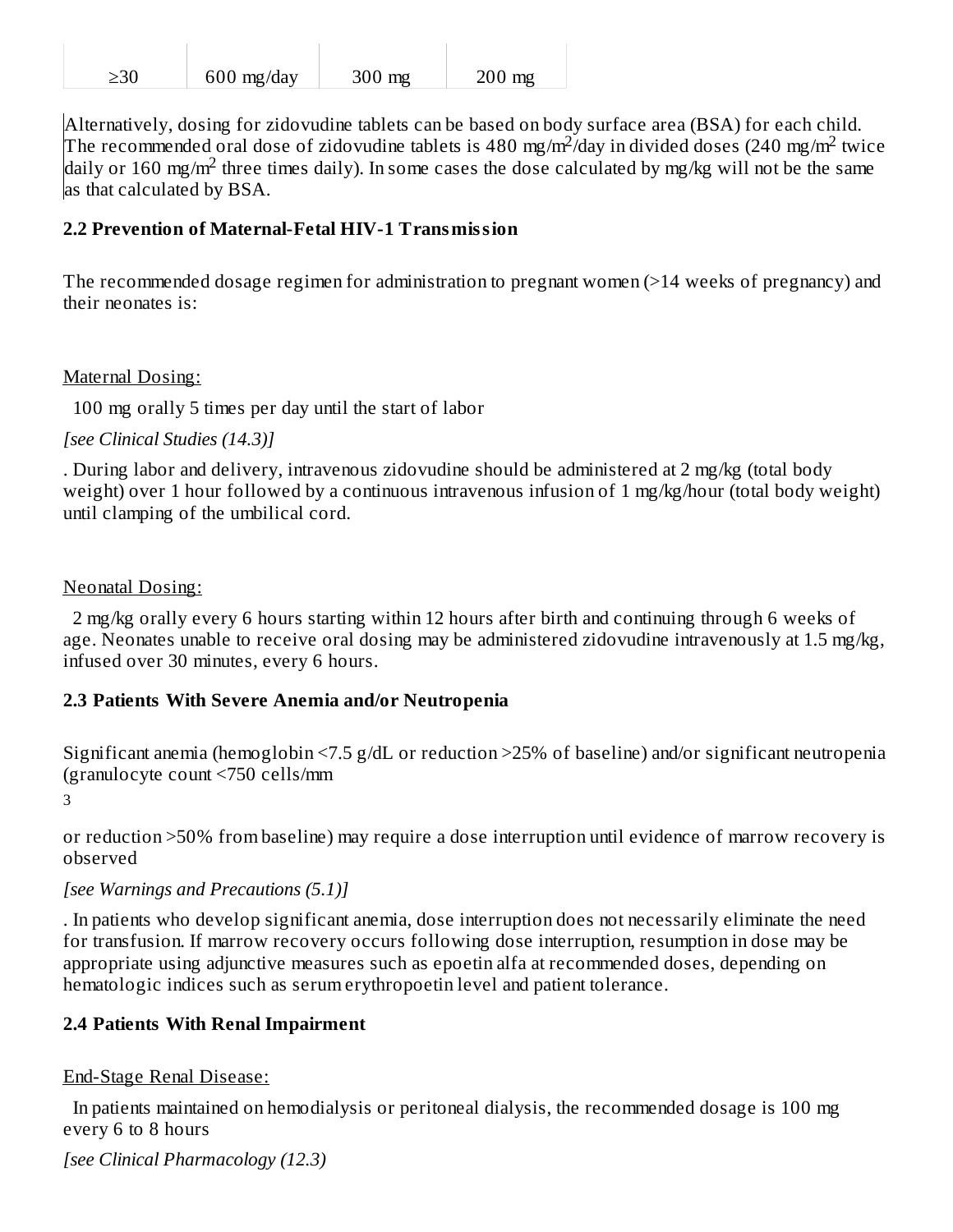| 230 | $600$ mg/day | $300$ mg | $200$ mg |
|-----|--------------|----------|----------|

Alternatively, dosing for zidovudine tablets can be based on body surface area (BSA) for each child. The recommended oral dose of zidovudine tablets is 480 mg/m<sup>2</sup>/day in divided doses (240 mg/m<sup>2</sup> twice daily or 160 mg/m<sup>2</sup> three times daily). In some cases the dose calculated by mg/kg will not be the same as that calculated by BSA.

### **2.2 Prevention of Maternal-Fetal HIV-1 Transmission**

The recommended dosage regimen for administration to pregnant women (>14 weeks of pregnancy) and their neonates is:

#### Maternal Dosing:

100 mg orally 5 times per day until the start of labor

*[see Clinical Studies (14.3)]*

. During labor and delivery, intravenous zidovudine should be administered at 2 mg/kg (total body weight) over 1 hour followed by a continuous intravenous infusion of 1 mg/kg/hour (total body weight) until clamping of the umbilical cord.

#### Neonatal Dosing:

2 mg/kg orally every 6 hours starting within 12 hours after birth and continuing through 6 weeks of age. Neonates unable to receive oral dosing may be administered zidovudine intravenously at 1.5 mg/kg, infused over 30 minutes, every 6 hours.

### **2.3 Patients With Severe Anemia and/or Neutropenia**

Significant anemia (hemoglobin <7.5 g/dL or reduction >25% of baseline) and/or significant neutropenia (granulocyte count <750 cells/mm

3

or reduction >50% from baseline) may require a dose interruption until evidence of marrow recovery is observed

### *[see Warnings and Precautions (5.1)]*

. In patients who develop significant anemia, dose interruption does not necessarily eliminate the need for transfusion. If marrow recovery occurs following dose interruption, resumption in dose may be appropriate using adjunctive measures such as epoetin alfa at recommended doses, depending on hematologic indices such as serum erythropoetin level and patient tolerance.

### **2.4 Patients With Renal Impairment**

#### End-Stage Renal Disease:

In patients maintained on hemodialysis or peritoneal dialysis, the recommended dosage is 100 mg every 6 to 8 hours

*[see Clinical Pharmacology (12.3)*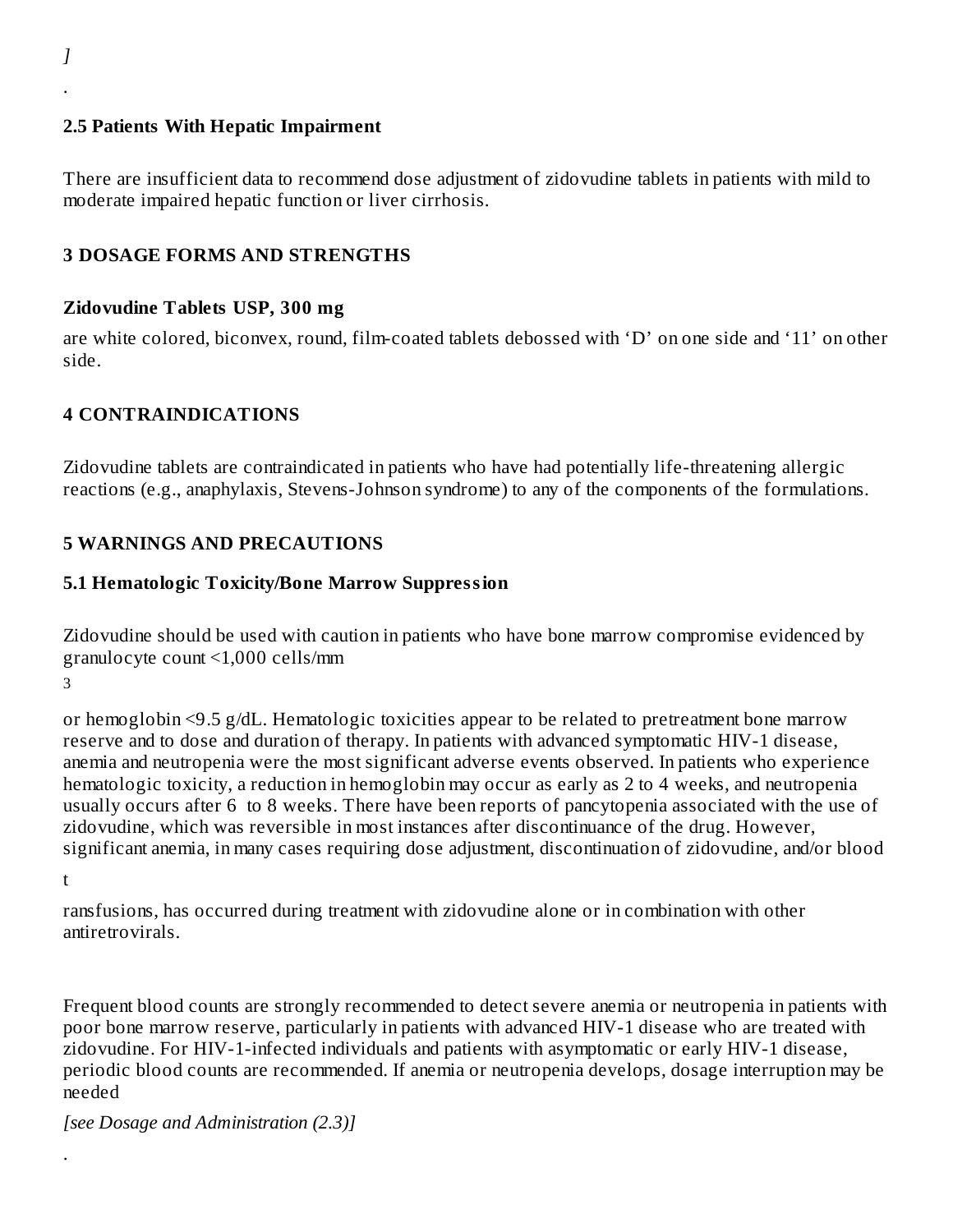#### **2.5 Patients With Hepatic Impairment**

There are insufficient data to recommend dose adjustment of zidovudine tablets in patients with mild to moderate impaired hepatic function or liver cirrhosis.

#### **3 DOSAGE FORMS AND STRENGTHS**

#### **Zidovudine Tablets USP, 300 mg**

are white colored, biconvex, round, film-coated tablets debossed with 'D' on one side and '11' on other side.

#### **4 CONTRAINDICATIONS**

Zidovudine tablets are contraindicated in patients who have had potentially life-threatening allergic reactions (e.g., anaphylaxis, Stevens-Johnson syndrome) to any of the components of the formulations.

#### **5 WARNINGS AND PRECAUTIONS**

#### **5.1 Hematologic Toxicity/Bone Marrow Suppression**

Zidovudine should be used with caution in patients who have bone marrow compromise evidenced by granulocyte count <1,000 cells/mm

3

or hemoglobin <9.5 g/dL. Hematologic toxicities appear to be related to pretreatment bone marrow reserve and to dose and duration of therapy. In patients with advanced symptomatic HIV-1 disease, anemia and neutropenia were the most significant adverse events observed. In patients who experience hematologic toxicity, a reduction in hemoglobin may occur as early as 2 to 4 weeks, and neutropenia usually occurs after 6 to 8 weeks. There have been reports of pancytopenia associated with the use of zidovudine, which was reversible in most instances after discontinuance of the drug. However, significant anemia, in many cases requiring dose adjustment, discontinuation of zidovudine, and/or blood

t

.

ransfusions, has occurred during treatment with zidovudine alone or in combination with other antiretrovirals.

Frequent blood counts are strongly recommended to detect severe anemia or neutropenia in patients with poor bone marrow reserve, particularly in patients with advanced HIV-1 disease who are treated with zidovudine. For HIV-1-infected individuals and patients with asymptomatic or early HIV-1 disease, periodic blood counts are recommended. If anemia or neutropenia develops, dosage interruption may be needed

*[see Dosage and Administration (2.3)]*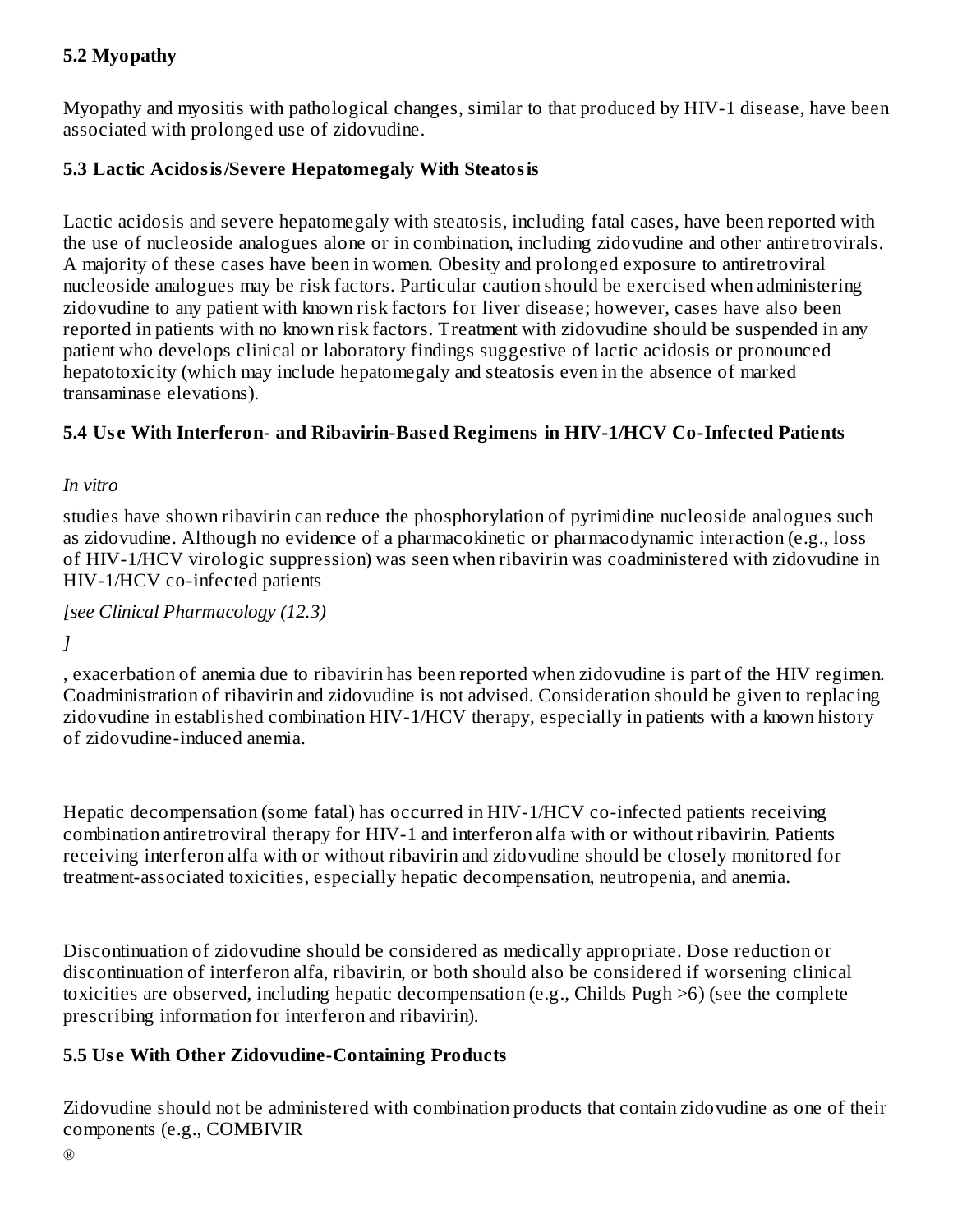## **5.2 Myopathy**

Myopathy and myositis with pathological changes, similar to that produced by HIV-1 disease, have been associated with prolonged use of zidovudine.

### **5.3 Lactic Acidosis/Severe Hepatomegaly With Steatosis**

Lactic acidosis and severe hepatomegaly with steatosis, including fatal cases, have been reported with the use of nucleoside analogues alone or in combination, including zidovudine and other antiretrovirals. A majority of these cases have been in women. Obesity and prolonged exposure to antiretroviral nucleoside analogues may be risk factors. Particular caution should be exercised when administering zidovudine to any patient with known risk factors for liver disease; however, cases have also been reported in patients with no known risk factors. Treatment with zidovudine should be suspended in any patient who develops clinical or laboratory findings suggestive of lactic acidosis or pronounced hepatotoxicity (which may include hepatomegaly and steatosis even in the absence of marked transaminase elevations).

### **5.4 Us e With Interferon- and Ribavirin-Bas ed Regimens in HIV-1/HCV Co-Infected Patients**

*In vitro*

studies have shown ribavirin can reduce the phosphorylation of pyrimidine nucleoside analogues such as zidovudine. Although no evidence of a pharmacokinetic or pharmacodynamic interaction (e.g., loss of HIV-1/HCV virologic suppression) was seen when ribavirin was coadministered with zidovudine in HIV-1/HCV co-infected patients

*[see Clinical Pharmacology (12.3)*

*]*

, exacerbation of anemia due to ribavirin has been reported when zidovudine is part of the HIV regimen. Coadministration of ribavirin and zidovudine is not advised. Consideration should be given to replacing zidovudine in established combination HIV-1/HCV therapy, especially in patients with a known history of zidovudine-induced anemia.

Hepatic decompensation (some fatal) has occurred in HIV-1/HCV co-infected patients receiving combination antiretroviral therapy for HIV-1 and interferon alfa with or without ribavirin. Patients receiving interferon alfa with or without ribavirin and zidovudine should be closely monitored for treatment-associated toxicities, especially hepatic decompensation, neutropenia, and anemia.

Discontinuation of zidovudine should be considered as medically appropriate. Dose reduction or discontinuation of interferon alfa, ribavirin, or both should also be considered if worsening clinical toxicities are observed, including hepatic decompensation (e.g., Childs Pugh >6) (see the complete prescribing information for interferon and ribavirin).

### **5.5 Us e With Other Zidovudine-Containing Products**

Zidovudine should not be administered with combination products that contain zidovudine as one of their components (e.g., COMBIVIR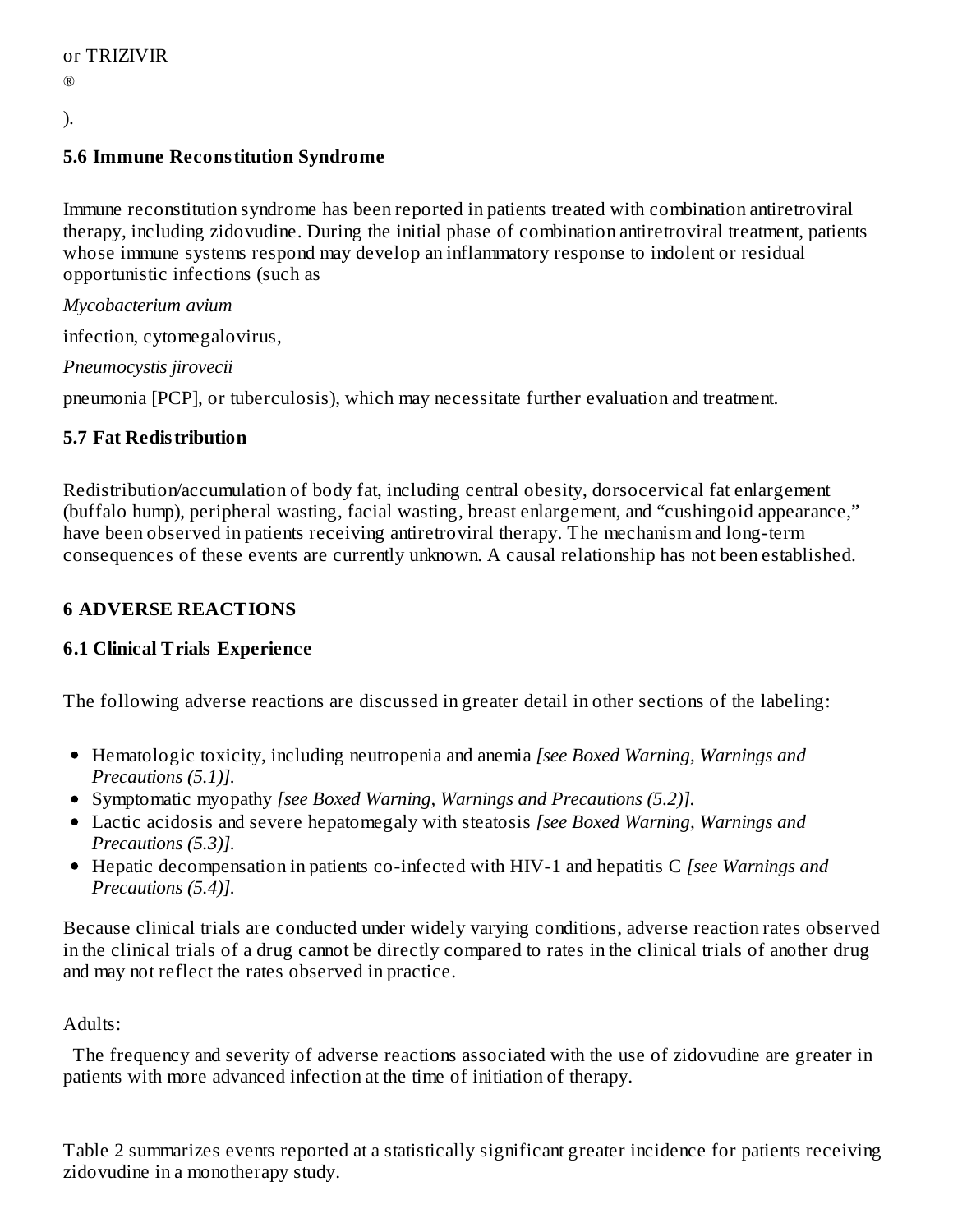®

# ).

### **5.6 Immune Reconstitution Syndrome**

Immune reconstitution syndrome has been reported in patients treated with combination antiretroviral therapy, including zidovudine. During the initial phase of combination antiretroviral treatment, patients whose immune systems respond may develop an inflammatory response to indolent or residual opportunistic infections (such as

*Mycobacterium avium*

infection, cytomegalovirus,

*Pneumocystis jirovecii*

pneumonia [PCP], or tuberculosis), which may necessitate further evaluation and treatment.

### **5.7 Fat Redistribution**

Redistribution/accumulation of body fat, including central obesity, dorsocervical fat enlargement (buffalo hump), peripheral wasting, facial wasting, breast enlargement, and "cushingoid appearance," have been observed in patients receiving antiretroviral therapy. The mechanism and long-term consequences of these events are currently unknown. A causal relationship has not been established.

## **6 ADVERSE REACTIONS**

### **6.1 Clinical Trials Experience**

The following adverse reactions are discussed in greater detail in other sections of the labeling:

- Hematologic toxicity, including neutropenia and anemia *[see Boxed Warning, Warnings and Precautions (5.1)].*
- Symptomatic myopathy *[see Boxed Warning, Warnings and Precautions (5.2)].*
- Lactic acidosis and severe hepatomegaly with steatosis *[see Boxed Warning, Warnings and Precautions (5.3)].*
- Hepatic decompensation in patients co-infected with HIV-1 and hepatitis C *[see Warnings and Precautions (5.4)].*

Because clinical trials are conducted under widely varying conditions, adverse reaction rates observed in the clinical trials of a drug cannot be directly compared to rates in the clinical trials of another drug and may not reflect the rates observed in practice.

### Adults:

The frequency and severity of adverse reactions associated with the use of zidovudine are greater in patients with more advanced infection at the time of initiation of therapy.

Table 2 summarizes events reported at a statistically significant greater incidence for patients receiving zidovudine in a monotherapy study.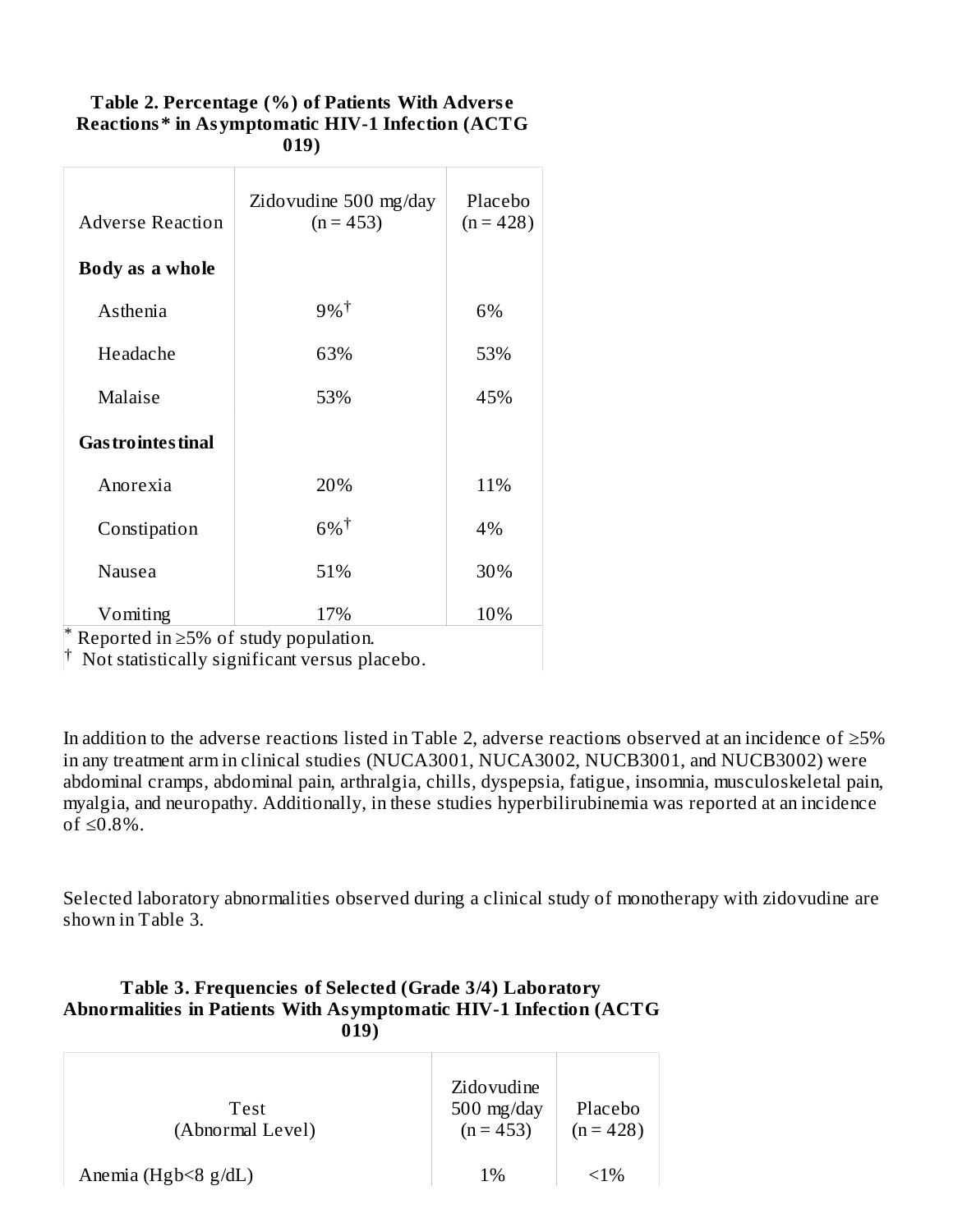| <b>Adverse Reaction</b>   | Zidovudine 500 mg/day<br>$(n = 453)$ | Placebo<br>$(n = 428)$ |
|---------------------------|--------------------------------------|------------------------|
| Body as a whole           |                                      |                        |
| Asthenia                  | $9%$ <sup>†</sup>                    | 6%                     |
| Headache                  | 63%                                  | 53%                    |
| Malaise                   | 53%                                  | 45%                    |
| <b>Gas trointes tinal</b> |                                      |                        |
| Anorexia                  | 20%                                  | 11%                    |
| Constipation              | $6\%$ <sup>†</sup>                   | 4%                     |
| Nausea                    | 51%                                  | 30%                    |
| Vomiting                  | 17%                                  | 10%                    |

#### **Table 2. Percentage (%) of Patients With Advers e Reactions\* in Asymptomatic HIV-1 Infection (ACTG 019)**

Reported in ≥5% of study population. \*

<sup>†</sup> Not statistically significant versus placebo.

In addition to the adverse reactions listed in Table 2, adverse reactions observed at an incidence of ≥5% in any treatment arm in clinical studies (NUCA3001, NUCA3002, NUCB3001, and NUCB3002) were abdominal cramps, abdominal pain, arthralgia, chills, dyspepsia, fatigue, insomnia, musculoskeletal pain, myalgia, and neuropathy. Additionally, in these studies hyperbilirubinemia was reported at an incidence of  $\leq 0.8\%$ .

Selected laboratory abnormalities observed during a clinical study of monotherapy with zidovudine are shown in Table 3.

#### **Table 3. Frequencies of Selected (Grade 3/4) Laboratory Abnormalities in Patients With Asymptomatic HIV-1 Infection (ACTG 019)**

| <b>Test</b><br>(Abnormal Level) | Zidovudine<br>$500$ mg/day<br>$(n = 453)$ | Placebo<br>$(n = 428)$ |
|---------------------------------|-------------------------------------------|------------------------|
| Anemia (Hgb $\leq$ 8 g/dL)      | $1\%$                                     | ${<}1\%$               |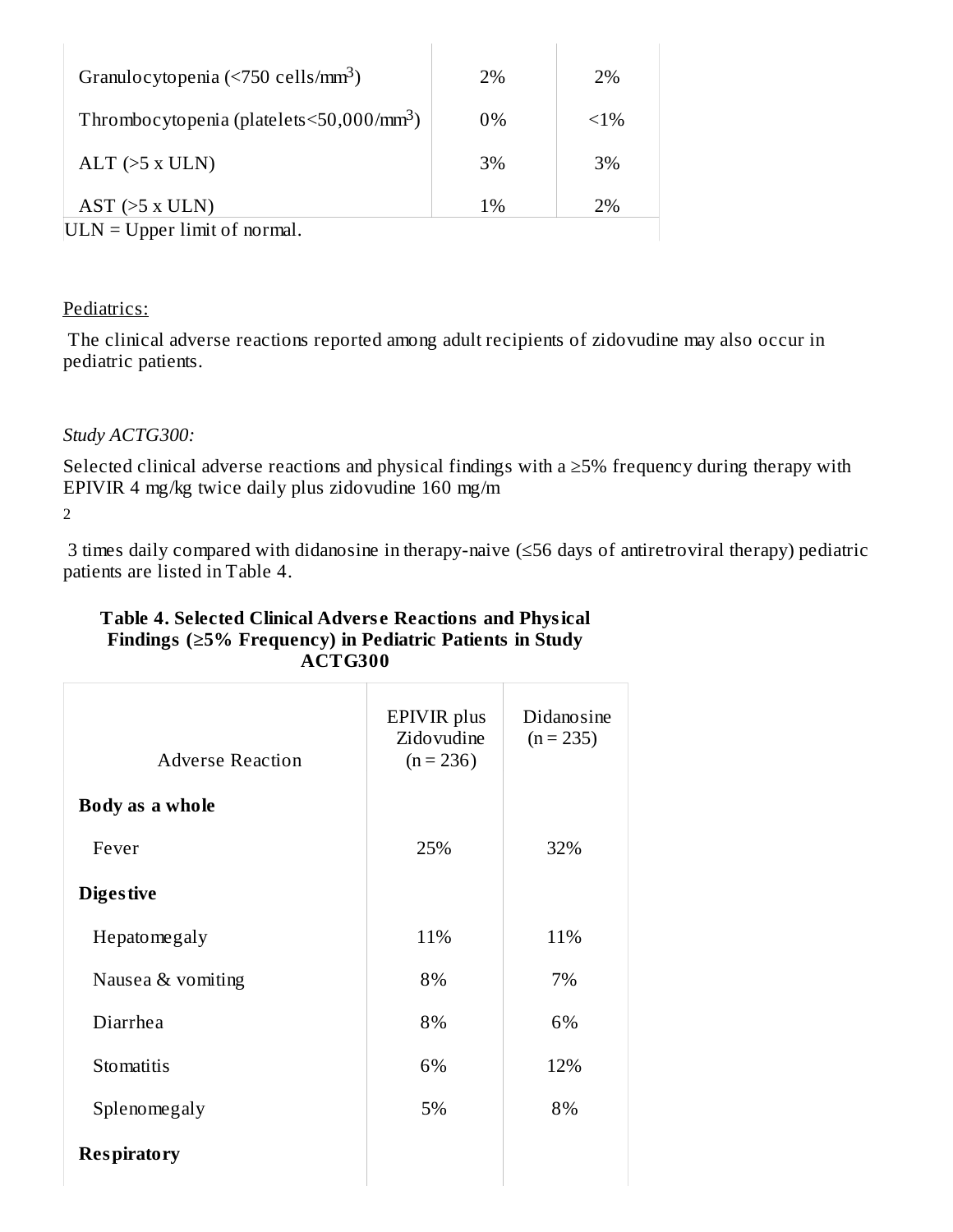| Granulocytopenia (<750 cells/mm <sup>3</sup> )        | 2%    | 2%      |
|-------------------------------------------------------|-------|---------|
| Thrombocytopenia (platelets<50,000/mm <sup>3</sup> )  | $0\%$ | $< 1\%$ |
| $ALT$ ( $>5$ x ULN)                                   | 3%    | 3%      |
| $AST$ ( $>5$ x ULN)                                   | 1%    | 2%      |
| $III \text{ N} - I$ Inner $\lim_{\Delta t}$ of normal |       |         |

 $|ULN = Upper$  limit of normal.

#### Pediatrics:

The clinical adverse reactions reported among adult recipients of zidovudine may also occur in pediatric patients.

### *Study ACTG300:*

Selected clinical adverse reactions and physical findings with a ≥5% frequency during therapy with EPIVIR 4 mg/kg twice daily plus zidovudine 160 mg/m

2

3 times daily compared with didanosine in therapy-naive (≤56 days of antiretroviral therapy) pediatric patients are listed in Table 4.

| Table 4. Selected Clinical Adverse Reactions and Physical      |
|----------------------------------------------------------------|
| Findings $(\geq 5\%$ Frequency) in Pediatric Patients in Study |
| ACTG300                                                        |

| <b>Adverse Reaction</b> | EPIVIR plus<br>Zidovudine<br>$(n = 236)$ | Didanosine<br>$(n = 235)$ |
|-------------------------|------------------------------------------|---------------------------|
| Body as a whole         |                                          |                           |
| Fever                   | 25%                                      | 32%                       |
| <b>Digestive</b>        |                                          |                           |
| Hepatomegaly            | 11%                                      | 11%                       |
| Nausea & vomiting       | 8%                                       | 7%                        |
| Diarrhea                | 8%                                       | 6%                        |
| Stomatitis              | 6%                                       | 12%                       |
| Splenomegaly            | 5%                                       | 8%                        |
| <b>Respiratory</b>      |                                          |                           |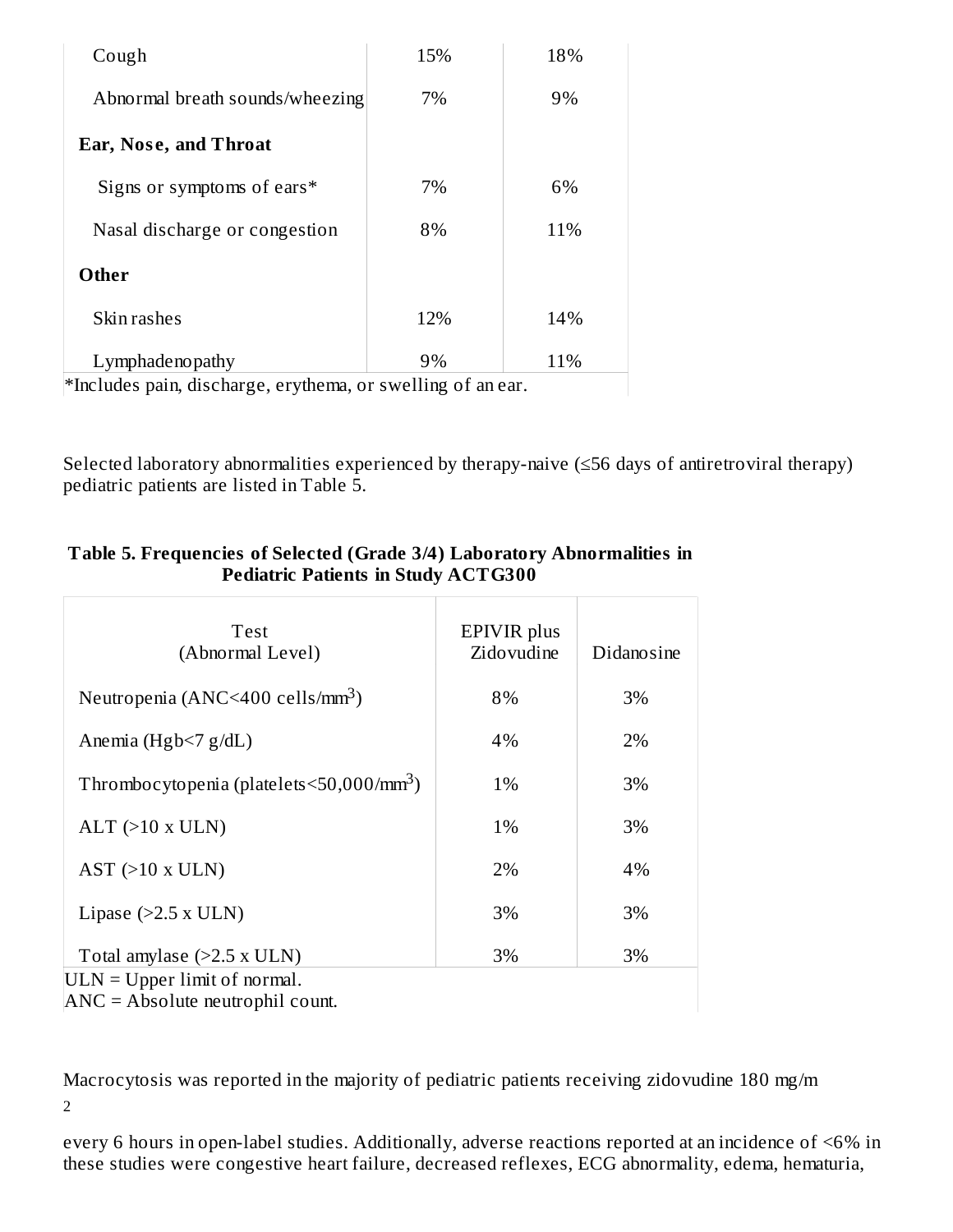| Cough                                                                 | 15%           | 18% |
|-----------------------------------------------------------------------|---------------|-----|
| Abnormal breath sounds/wheezing                                       | 7%            | 9%  |
| <b>Ear, Nose, and Throat</b>                                          |               |     |
| Signs or symptoms of ears*                                            | 7%            | 6%  |
| Nasal discharge or congestion                                         | 8%            | 11% |
| Other                                                                 |               |     |
| Skin rashes                                                           | 12%           | 14% |
| Lymphadenopathy                                                       | 9%            | 11% |
| $\mathbf{r}$ , and $\mathbf{r}$ , and $\mathbf{r}$ , and $\mathbf{r}$ | $\cdots$<br>r |     |

\*Includes pain, discharge, erythema, or swelling of an ear.

Selected laboratory abnormalities experienced by therapy-naive (≤56 days of antiretroviral therapy) pediatric patients are listed in Table 5.

| <b>Test</b><br>(Abnormal Level)                                | <b>EPIVIR</b> plus<br>Zidovudine | Didanosine |
|----------------------------------------------------------------|----------------------------------|------------|
| Neutropenia (ANC<400 cells/mm <sup>3</sup> )                   | 8%                               | 3%         |
| Anemia (Hgb $\leq$ 7 g/dL)                                     | 4%                               | 2%         |
| Thrombocytopenia (platelets $\leq$ 50,000/mm <sup>3</sup> )    | 1%                               | 3%         |
| $ALT$ (>10 x ULN)                                              | 1%                               | 3%         |
| $AST$ ( $>10$ x ULN)                                           | 2%                               | 4%         |
| Lipase $(>2.5 x ULN)$                                          | 3%                               | 3%         |
| Total amylase $(>2.5 x ULN)$<br>$ULN = Upper limit of normal.$ | 3%                               | 3%         |

#### **Table 5. Frequencies of Selected (Grade 3/4) Laboratory Abnormalities in Pediatric Patients in Study ACTG300**

ANC = Absolute neutrophil count.

Macrocytosis was reported in the majority of pediatric patients receiving zidovudine 180 mg/m 2

every 6 hours in open-label studies. Additionally, adverse reactions reported at an incidence of <6% in these studies were congestive heart failure, decreased reflexes, ECG abnormality, edema, hematuria,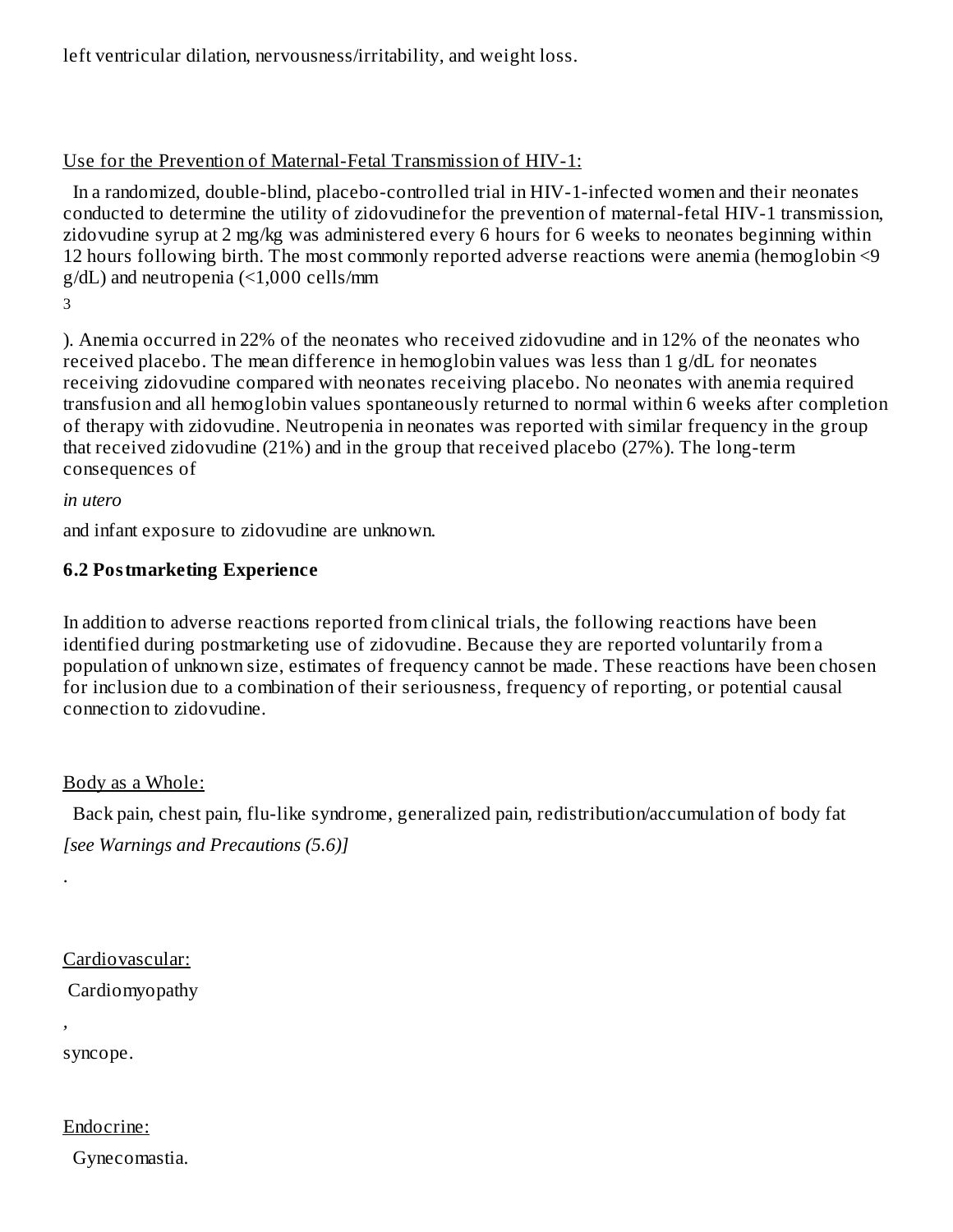left ventricular dilation, nervousness/irritability, and weight loss.

### Use for the Prevention of Maternal-Fetal Transmission of HIV-1:

In a randomized, double-blind, placebo-controlled trial in HIV-1-infected women and their neonates conducted to determine the utility of zidovudinefor the prevention of maternal-fetal HIV-1 transmission, zidovudine syrup at 2 mg/kg was administered every 6 hours for 6 weeks to neonates beginning within 12 hours following birth. The most commonly reported adverse reactions were anemia (hemoglobin <9 g/dL) and neutropenia (<1,000 cells/mm

3

). Anemia occurred in 22% of the neonates who received zidovudine and in 12% of the neonates who received placebo. The mean difference in hemoglobin values was less than 1 g/dL for neonates receiving zidovudine compared with neonates receiving placebo. No neonates with anemia required transfusion and all hemoglobin values spontaneously returned to normal within 6 weeks after completion of therapy with zidovudine. Neutropenia in neonates was reported with similar frequency in the group that received zidovudine (21%) and in the group that received placebo (27%). The long-term consequences of

*in utero*

and infant exposure to zidovudine are unknown.

### **6.2 Postmarketing Experience**

In addition to adverse reactions reported from clinical trials, the following reactions have been identified during postmarketing use of zidovudine. Because they are reported voluntarily from a population of unknown size, estimates of frequency cannot be made. These reactions have been chosen for inclusion due to a combination of their seriousness, frequency of reporting, or potential causal connection to zidovudine.

Body as a Whole:

Back pain, chest pain, flu-like syndrome, generalized pain, redistribution/accumulation of body fat *[see Warnings and Precautions (5.6)]*

Cardiovascular:

Cardiomyopathy

*,*

.

syncope.

Endocrine:

Gynecomastia.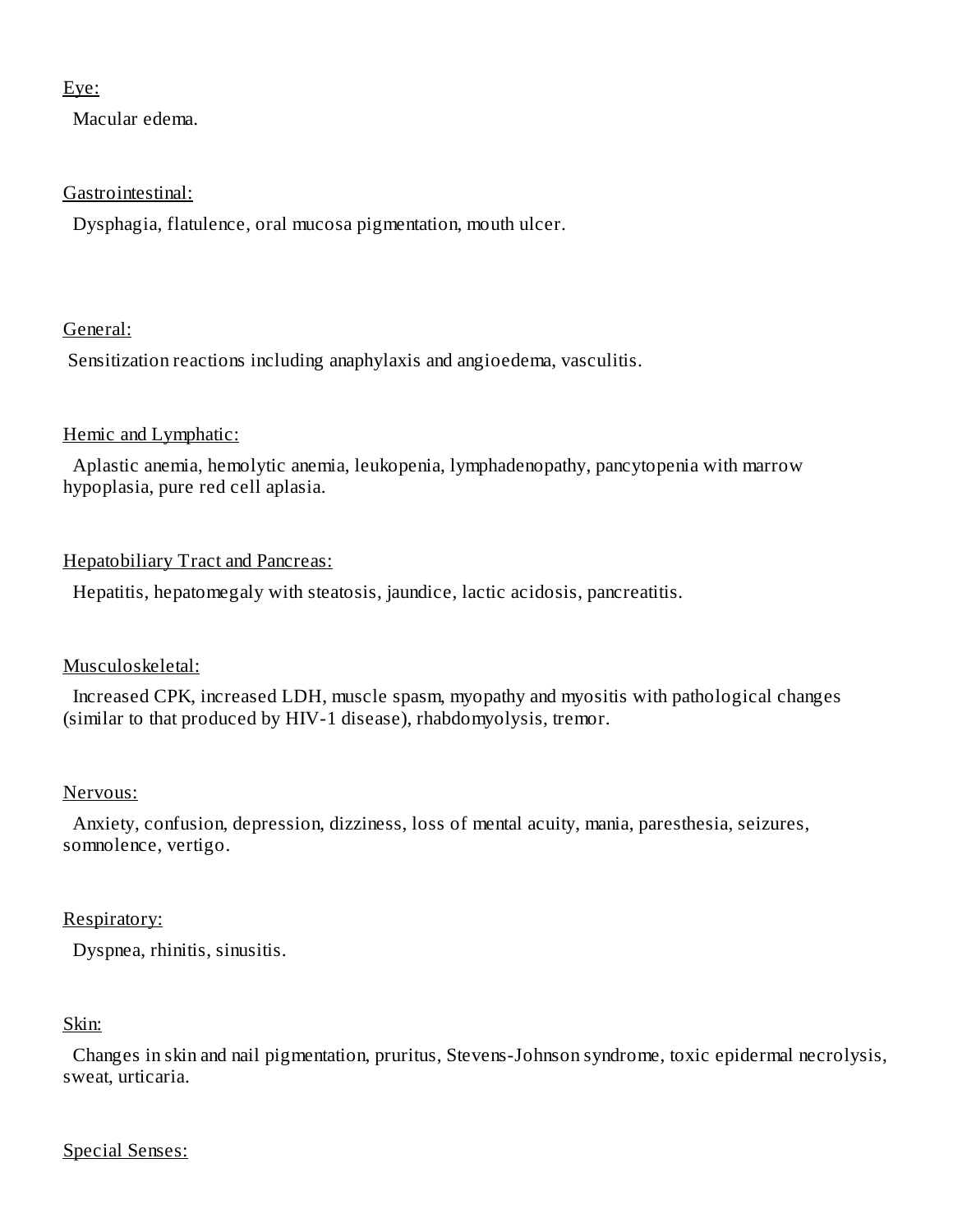#### Eye:

Macular edema.

#### Gastrointestinal:

Dysphagia, flatulence, oral mucosa pigmentation, mouth ulcer.

### General:

Sensitization reactions including anaphylaxis and angioedema, vasculitis.

### Hemic and Lymphatic:

Aplastic anemia, hemolytic anemia, leukopenia, lymphadenopathy, pancytopenia with marrow hypoplasia, pure red cell aplasia.

### Hepatobiliary Tract and Pancreas:

Hepatitis, hepatomegaly with steatosis, jaundice, lactic acidosis, pancreatitis.

### Musculoskeletal:

Increased CPK, increased LDH, muscle spasm, myopathy and myositis with pathological changes (similar to that produced by HIV-1 disease), rhabdomyolysis, tremor.

### Nervous:

Anxiety, confusion, depression, dizziness, loss of mental acuity, mania, paresthesia, seizures, somnolence, vertigo.

### Respiratory:

Dyspnea, rhinitis, sinusitis.

### Skin:

Changes in skin and nail pigmentation, pruritus, Stevens-Johnson syndrome, toxic epidermal necrolysis, sweat, urticaria.

#### Special Senses: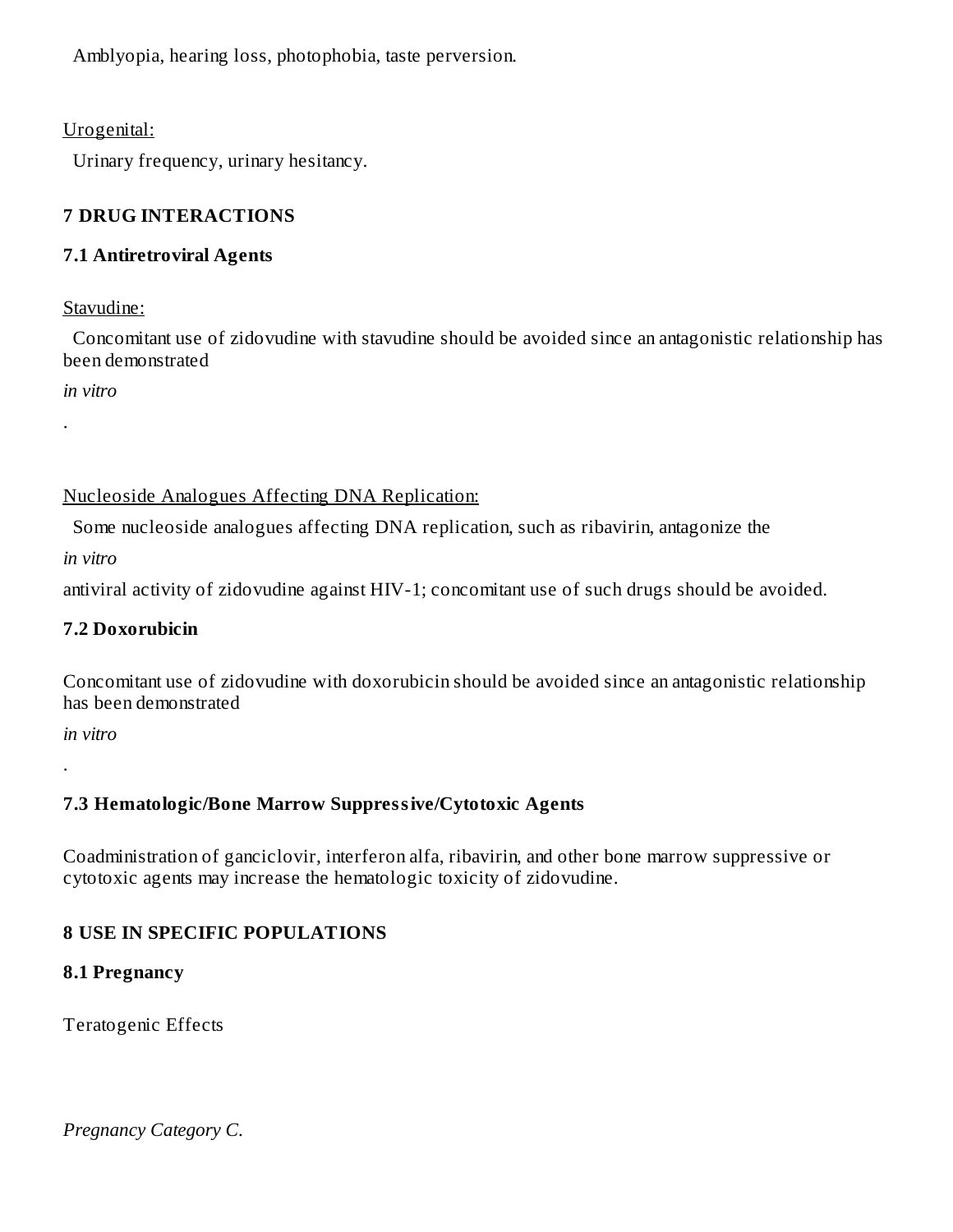Amblyopia, hearing loss, photophobia, taste perversion.

Urogenital:

Urinary frequency, urinary hesitancy.

## **7 DRUG INTERACTIONS**

### **7.1 Antiretroviral Agents**

### Stavudine:

Concomitant use of zidovudine with stavudine should be avoided since an antagonistic relationship has been demonstrated

*in vitro*

.

Nucleoside Analogues Affecting DNA Replication:

Some nucleoside analogues affecting DNA replication, such as ribavirin, antagonize the

*in vitro*

antiviral activity of zidovudine against HIV-1; concomitant use of such drugs should be avoided.

### **7.2 Doxorubicin**

Concomitant use of zidovudine with doxorubicin should be avoided since an antagonistic relationship has been demonstrated

*in vitro*

.

# **7.3 Hematologic/Bone Marrow Suppressive/Cytotoxic Agents**

Coadministration of ganciclovir, interferon alfa, ribavirin, and other bone marrow suppressive or cytotoxic agents may increase the hematologic toxicity of zidovudine.

# **8 USE IN SPECIFIC POPULATIONS**

### **8.1 Pregnancy**

Teratogenic Effects

*Pregnancy Category C.*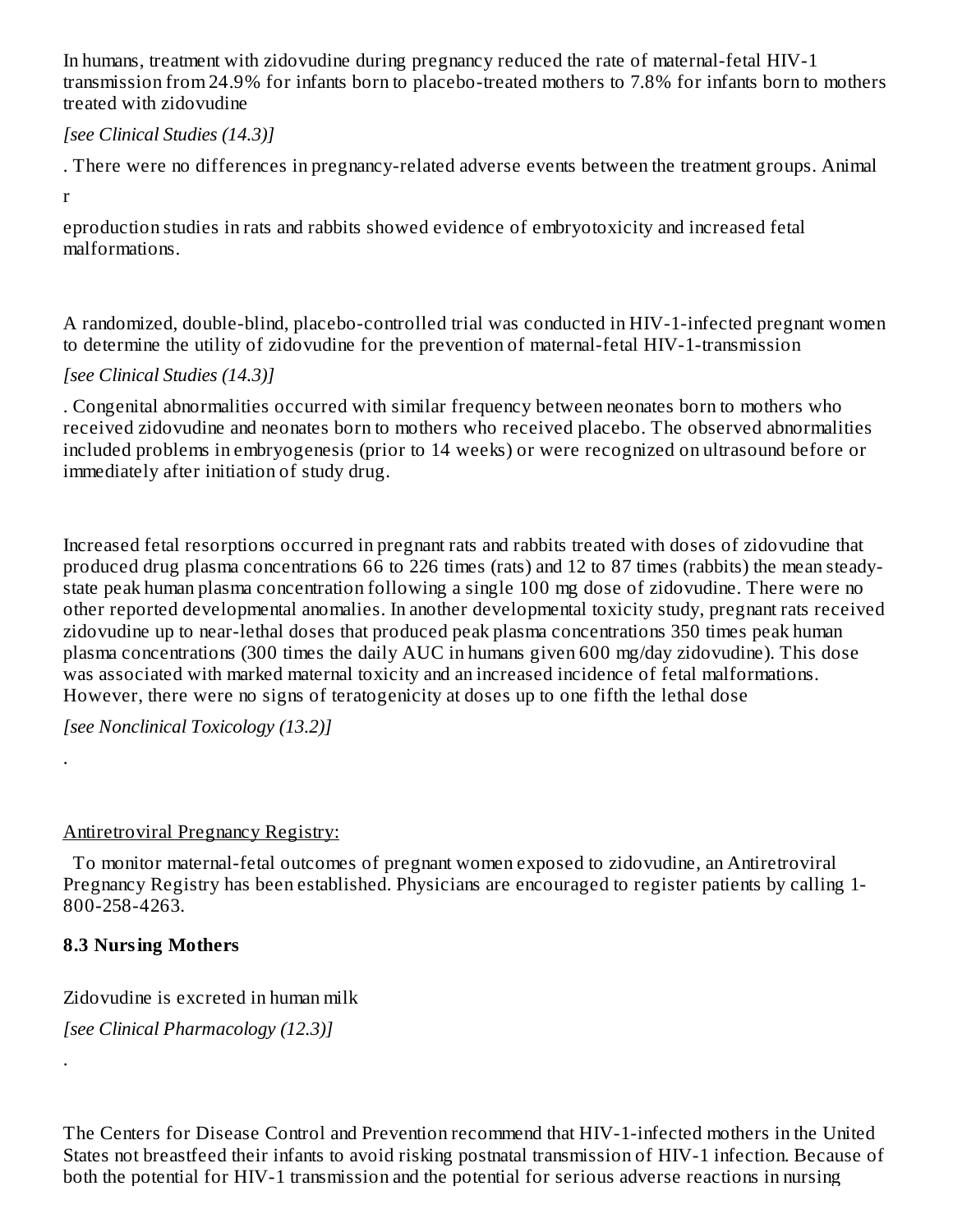In humans, treatment with zidovudine during pregnancy reduced the rate of maternal-fetal HIV-1 transmission from 24.9% for infants born to placebo-treated mothers to 7.8% for infants born to mothers treated with zidovudine

### *[see Clinical Studies (14.3)]*

. There were no differences in pregnancy-related adverse events between the treatment groups. Animal

r

.

.

eproduction studies in rats and rabbits showed evidence of embryotoxicity and increased fetal malformations.

A randomized, double-blind, placebo-controlled trial was conducted in HIV-1-infected pregnant women to determine the utility of zidovudine for the prevention of maternal-fetal HIV-1-transmission

### *[see Clinical Studies (14.3)]*

. Congenital abnormalities occurred with similar frequency between neonates born to mothers who received zidovudine and neonates born to mothers who received placebo. The observed abnormalities included problems in embryogenesis (prior to 14 weeks) or were recognized on ultrasound before or immediately after initiation of study drug.

Increased fetal resorptions occurred in pregnant rats and rabbits treated with doses of zidovudine that produced drug plasma concentrations 66 to 226 times (rats) and 12 to 87 times (rabbits) the mean steadystate peak human plasma concentration following a single 100 mg dose of zidovudine. There were no other reported developmental anomalies. In another developmental toxicity study, pregnant rats received zidovudine up to near-lethal doses that produced peak plasma concentrations 350 times peak human plasma concentrations (300 times the daily AUC in humans given 600 mg/day zidovudine). This dose was associated with marked maternal toxicity and an increased incidence of fetal malformations. However, there were no signs of teratogenicity at doses up to one fifth the lethal dose

*[see Nonclinical Toxicology (13.2)]*

### Antiretroviral Pregnancy Registry:

To monitor maternal-fetal outcomes of pregnant women exposed to zidovudine, an Antiretroviral Pregnancy Registry has been established. Physicians are encouraged to register patients by calling 1- 800-258-4263.

### **8.3 Nursing Mothers**

Zidovudine is excreted in human milk

*[see Clinical Pharmacology (12.3)]*

The Centers for Disease Control and Prevention recommend that HIV-1-infected mothers in the United States not breastfeed their infants to avoid risking postnatal transmission of HIV-1 infection. Because of both the potential for HIV-1 transmission and the potential for serious adverse reactions in nursing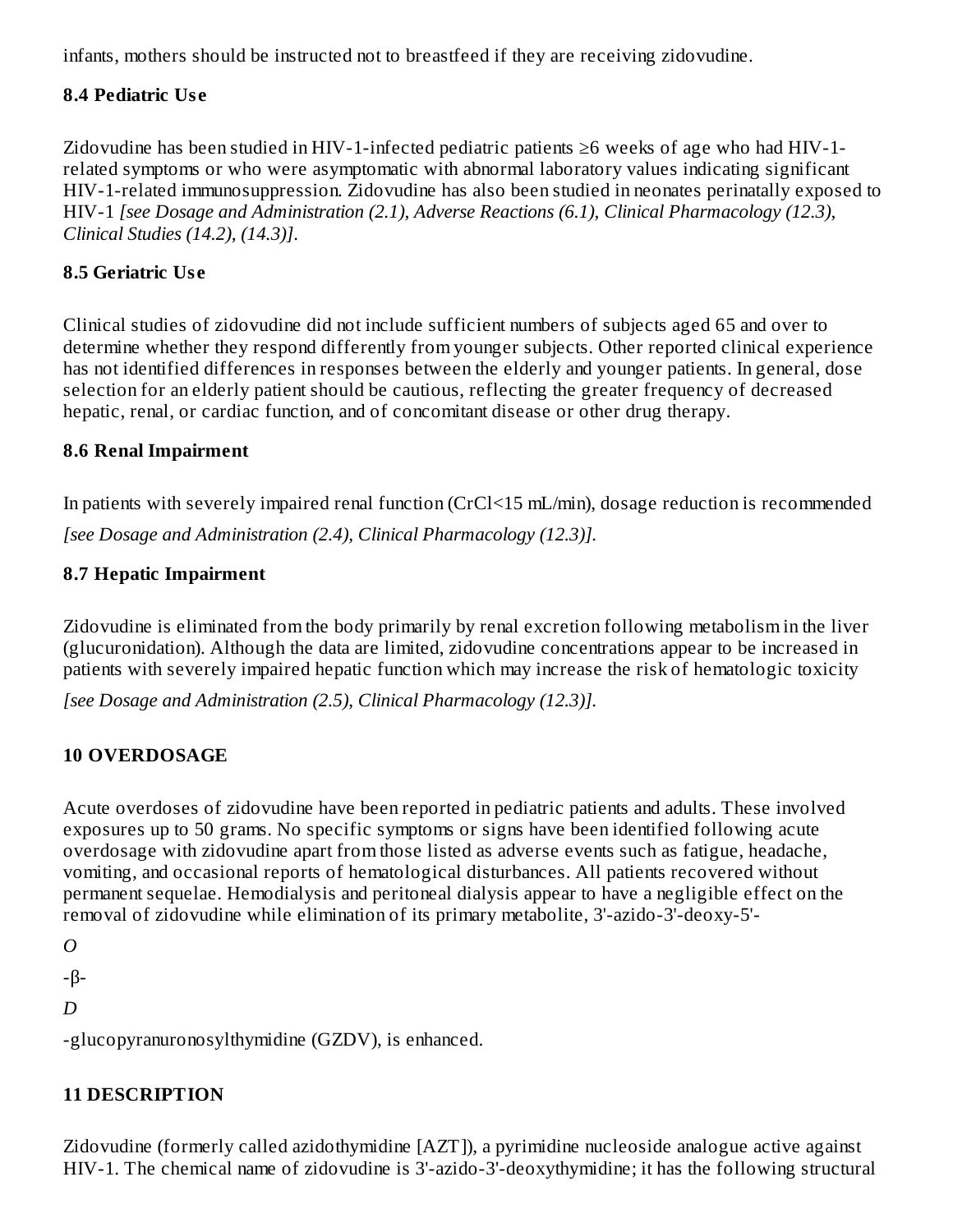infants, mothers should be instructed not to breastfeed if they are receiving zidovudine.

### **8.4 Pediatric Us e**

Zidovudine has been studied in HIV-1-infected pediatric patients ≥6 weeks of age who had HIV-1 related symptoms or who were asymptomatic with abnormal laboratory values indicating significant HIV-1-related immunosuppression. Zidovudine has also been studied in neonates perinatally exposed to HIV-1 *[see Dosage and Administration (2.1), Adverse Reactions (6.1), Clinical Pharmacology (12.3), Clinical Studies (14.2), (14.3)]*.

## **8.5 Geriatric Us e**

Clinical studies of zidovudine did not include sufficient numbers of subjects aged 65 and over to determine whether they respond differently from younger subjects. Other reported clinical experience has not identified differences in responses between the elderly and younger patients. In general, dose selection for an elderly patient should be cautious, reflecting the greater frequency of decreased hepatic, renal, or cardiac function, and of concomitant disease or other drug therapy.

### **8.6 Renal Impairment**

In patients with severely impaired renal function (CrCl<15 mL/min), dosage reduction is recommended *[see Dosage and Administration (2.4), Clinical Pharmacology (12.3)].*

### **8.7 Hepatic Impairment**

Zidovudine is eliminated from the body primarily by renal excretion following metabolism in the liver (glucuronidation). Although the data are limited, zidovudine concentrations appear to be increased in patients with severely impaired hepatic function which may increase the risk of hematologic toxicity

*[see Dosage and Administration (2.5), Clinical Pharmacology (12.3)].*

### **10 OVERDOSAGE**

Acute overdoses of zidovudine have been reported in pediatric patients and adults. These involved exposures up to 50 grams. No specific symptoms or signs have been identified following acute overdosage with zidovudine apart from those listed as adverse events such as fatigue, headache, vomiting, and occasional reports of hematological disturbances. All patients recovered without permanent sequelae. Hemodialysis and peritoneal dialysis appear to have a negligible effect on the removal of zidovudine while elimination of its primary metabolite, 3'-azido-3'-deoxy-5'-

*O*

-β-

*D*

-glucopyranuronosylthymidine (GZDV), is enhanced.

### **11 DESCRIPTION**

Zidovudine (formerly called azidothymidine [AZT]), a pyrimidine nucleoside analogue active against HIV-1. The chemical name of zidovudine is 3'-azido-3'-deoxythymidine; it has the following structural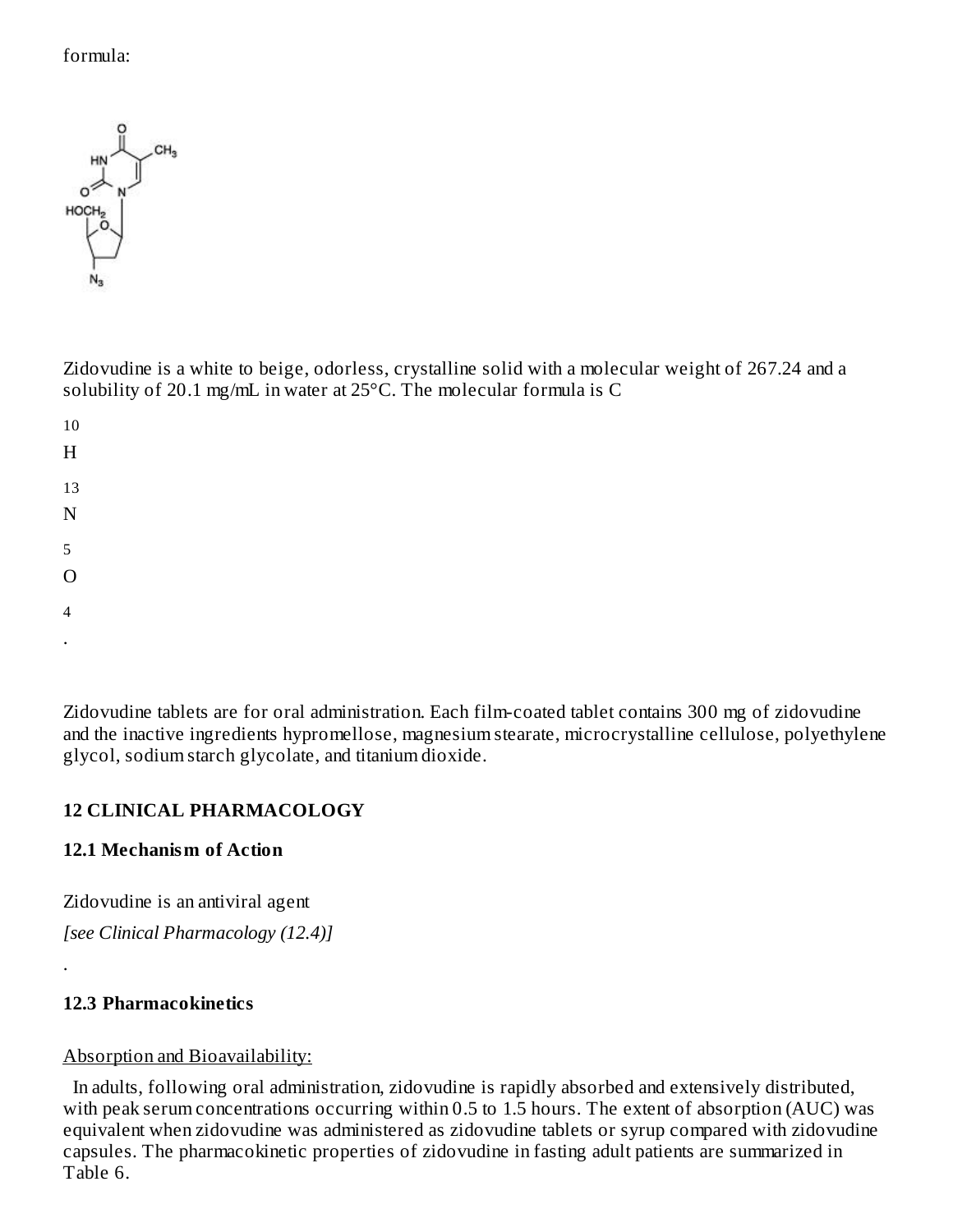### formula:



Zidovudine is a white to beige, odorless, crystalline solid with a molecular weight of 267.24 and a solubility of 20.1 mg/mL in water at 25°C. The molecular formula is C

| $10\,$                  |  |  |  |
|-------------------------|--|--|--|
| $\overline{\mathrm{H}}$ |  |  |  |
| $13\,$                  |  |  |  |
| $\overline{\rm N}$      |  |  |  |
| 5                       |  |  |  |
| $\overline{O}$          |  |  |  |
| $\overline{\mathbf{4}}$ |  |  |  |
| $\cdot$                 |  |  |  |

Zidovudine tablets are for oral administration. Each film-coated tablet contains 300 mg of zidovudine and the inactive ingredients hypromellose, magnesium stearate, microcrystalline cellulose, polyethylene glycol, sodium starch glycolate, and titanium dioxide.

### **12 CLINICAL PHARMACOLOGY**

#### **12.1 Mechanism of Action**

Zidovudine is an antiviral agent

*[see Clinical Pharmacology (12.4)]*

### **12.3 Pharmacokinetics**

.

### Absorption and Bioavailability:

In adults, following oral administration, zidovudine is rapidly absorbed and extensively distributed, with peak serum concentrations occurring within 0.5 to 1.5 hours. The extent of absorption (AUC) was equivalent when zidovudine was administered as zidovudine tablets or syrup compared with zidovudine capsules. The pharmacokinetic properties of zidovudine in fasting adult patients are summarized in Table 6.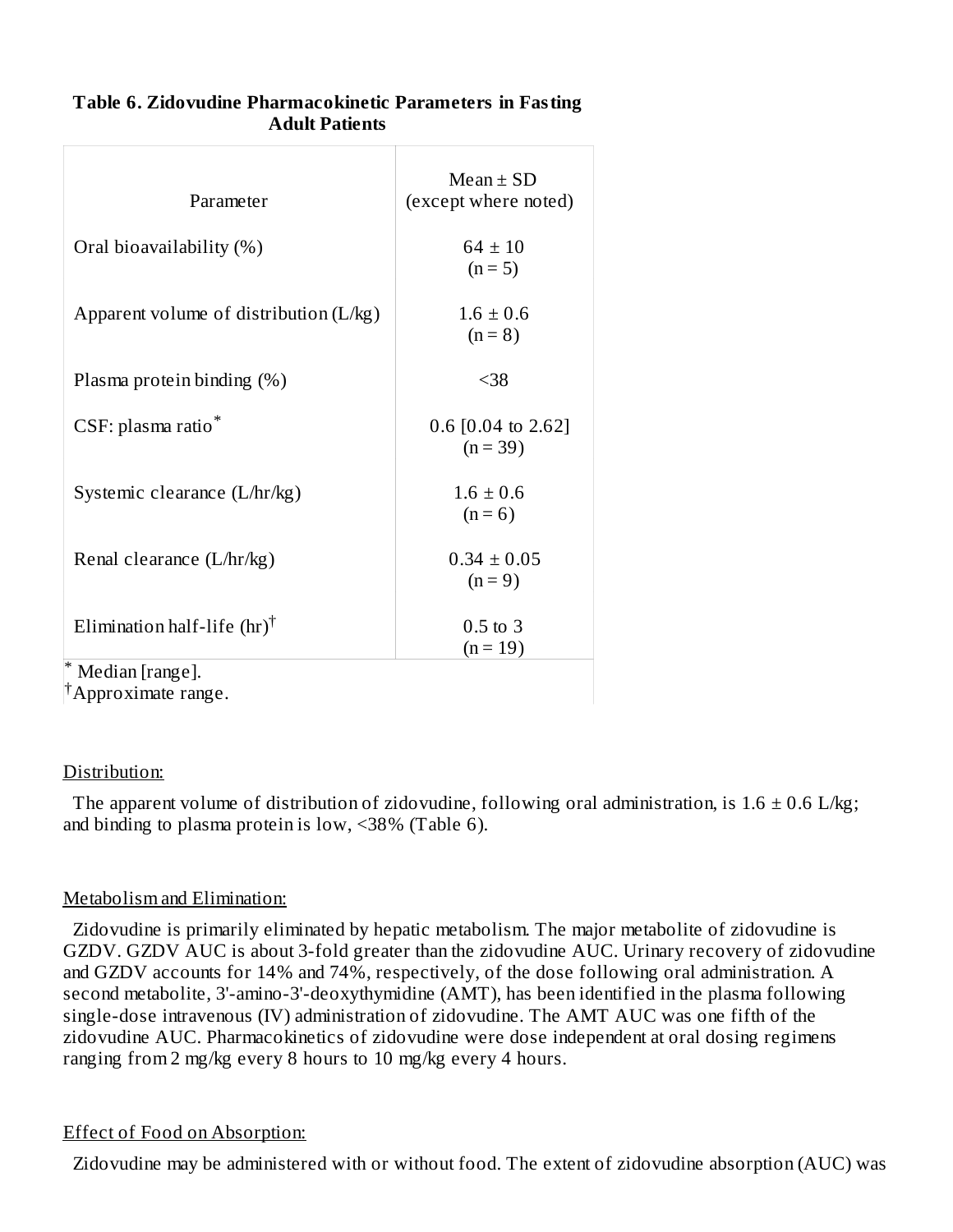| Parameter                                 | $Mean \pm SD$<br>(except where noted) |
|-------------------------------------------|---------------------------------------|
| Oral bioavailability (%)                  | $64 \pm 10$<br>$(n = 5)$              |
| Apparent volume of distribution $(L/kg)$  | $1.6 \pm 0.6$<br>$(n = 8)$            |
| Plasma protein binding (%)                | $38$                                  |
| CSF: plasma ratio*                        | $0.6$ [0.04 to 2.62]<br>$(n = 39)$    |
| Systemic clearance (L/hr/kg)              | $1.6 \pm 0.6$<br>$(n = 6)$            |
| Renal clearance (L/hr/kg)                 | $0.34 \pm 0.05$<br>$(n = 9)$          |
| Elimination half-life $(hr)$ <sup>†</sup> | $0.5$ to 3<br>$(n = 19)$              |
| Median [range].                           |                                       |

**Table 6. Zidovudine Pharmacokinetic Parameters in Fasting Adult Patients**

Approximate range. †

### Distribution:

The apparent volume of distribution of zidovudine, following oral administration, is  $1.6 \pm 0.6$  L/kg; and binding to plasma protein is low, <38% (Table 6).

### Metabolism and Elimination:

Zidovudine is primarily eliminated by hepatic metabolism. The major metabolite of zidovudine is GZDV. GZDV AUC is about 3-fold greater than the zidovudine AUC. Urinary recovery of zidovudine and GZDV accounts for 14% and 74%, respectively, of the dose following oral administration. A second metabolite, 3'-amino-3'-deoxythymidine (AMT), has been identified in the plasma following single-dose intravenous (IV) administration of zidovudine. The AMT AUC was one fifth of the zidovudine AUC. Pharmacokinetics of zidovudine were dose independent at oral dosing regimens ranging from 2 mg/kg every 8 hours to 10 mg/kg every 4 hours.

### Effect of Food on Absorption:

Zidovudine may be administered with or without food. The extent of zidovudine absorption (AUC) was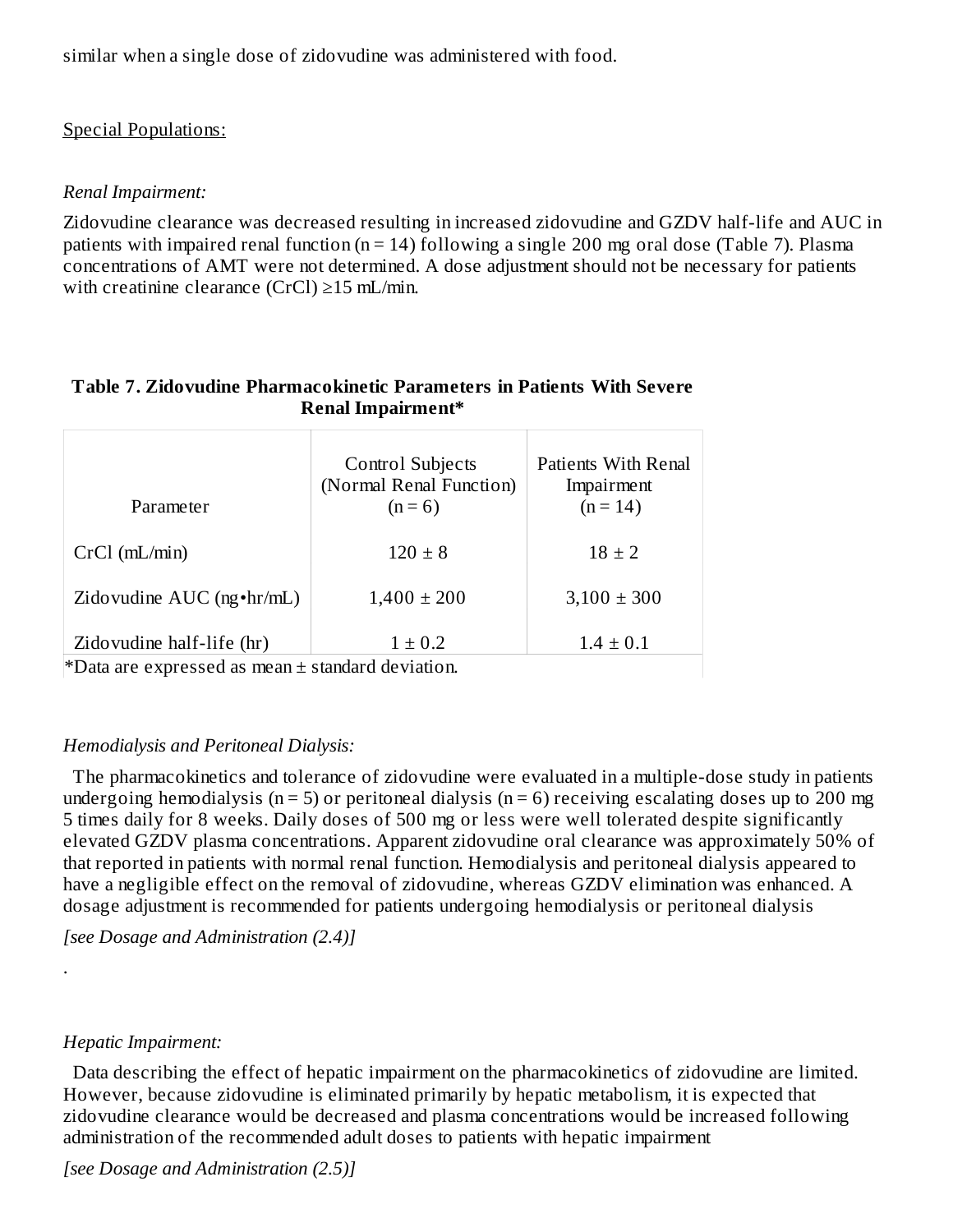similar when a single dose of zidovudine was administered with food.

### Special Populations:

### *Renal Impairment:*

Zidovudine clearance was decreased resulting in increased zidovudine and GZDV half-life and AUC in patients with impaired renal function ( $n = 14$ ) following a single 200 mg oral dose (Table 7). Plasma concentrations of AMT were not determined. A dose adjustment should not be necessary for patients with creatinine clearance (CrCl) ≥15 mL/min.

#### **Table 7. Zidovudine Pharmacokinetic Parameters in Patients With Severe Renal Impairment\***

| Parameter                         | <b>Control Subjects</b><br>(Normal Renal Function)<br>$(n = 6)$ | Patients With Renal<br>Impairment<br>$(n = 14)$ |
|-----------------------------------|-----------------------------------------------------------------|-------------------------------------------------|
| $CrCl$ (mL/min)                   | $120 \pm 8$                                                     | $18 \pm 2$                                      |
| Zidovudine AUC $(ng \cdot hr/mL)$ | $1,400 \pm 200$                                                 | $3,100 \pm 300$                                 |
| Zidovudine half-life (hr)         | $1 \pm 0.2$                                                     | $1.4 \pm 0.1$                                   |

\*Data are expressed as mean  $\pm$  standard deviation.

### *Hemodialysis and Peritoneal Dialysis:*

The pharmacokinetics and tolerance of zidovudine were evaluated in a multiple-dose study in patients undergoing hemodialysis ( $n = 5$ ) or peritoneal dialysis ( $n = 6$ ) receiving escalating doses up to 200 mg 5 times daily for 8 weeks. Daily doses of 500 mg or less were well tolerated despite significantly elevated GZDV plasma concentrations. Apparent zidovudine oral clearance was approximately 50% of that reported in patients with normal renal function. Hemodialysis and peritoneal dialysis appeared to have a negligible effect on the removal of zidovudine, whereas GZDV elimination was enhanced. A dosage adjustment is recommended for patients undergoing hemodialysis or peritoneal dialysis

*[see Dosage and Administration (2.4)]*

### *Hepatic Impairment:*

.

Data describing the effect of hepatic impairment on the pharmacokinetics of zidovudine are limited. However, because zidovudine is eliminated primarily by hepatic metabolism, it is expected that zidovudine clearance would be decreased and plasma concentrations would be increased following administration of the recommended adult doses to patients with hepatic impairment

*[see Dosage and Administration (2.5)]*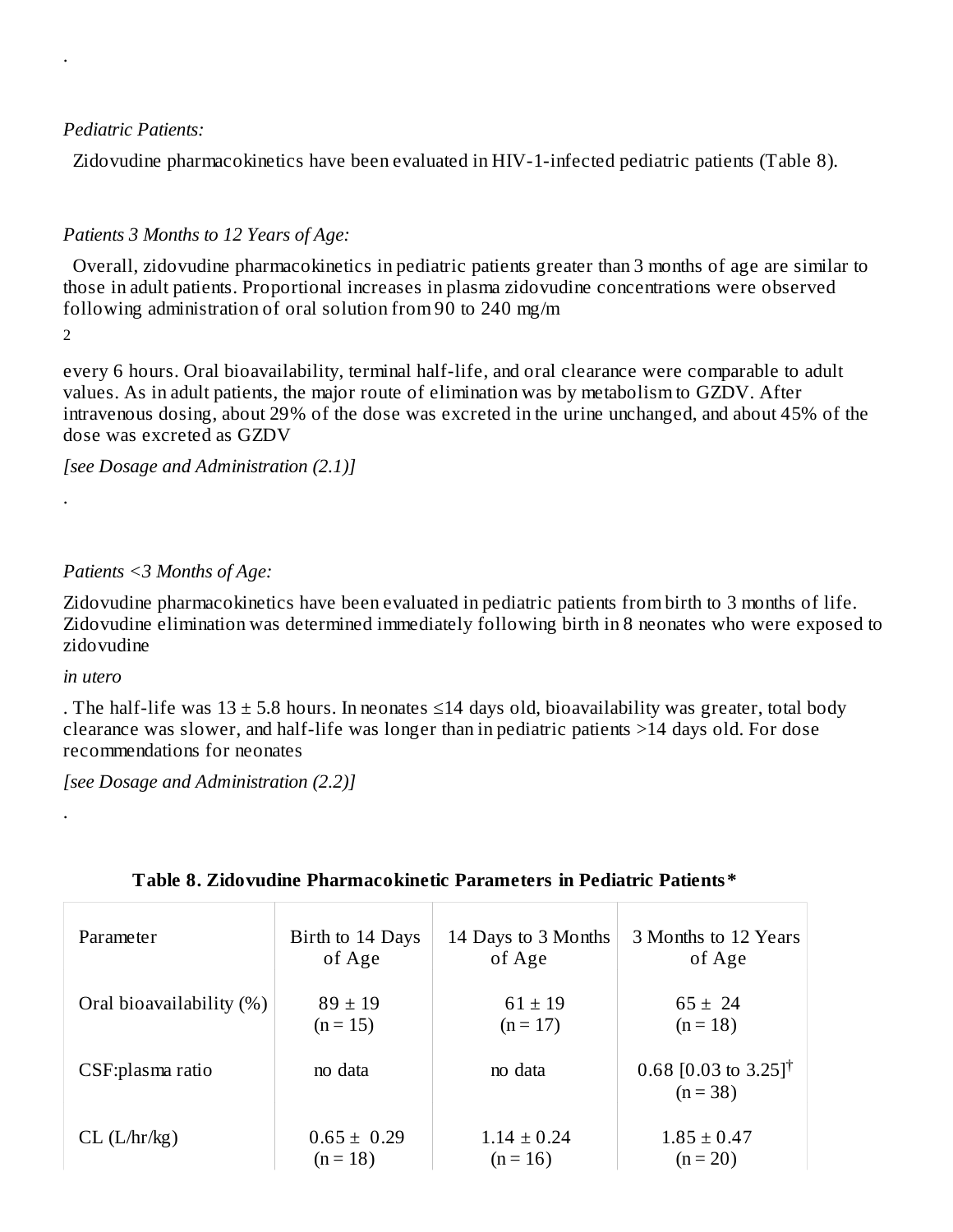#### *Pediatric Patients:*

Zidovudine pharmacokinetics have been evaluated in HIV-1-infected pediatric patients (Table 8).

### *Patients 3 Months to 12 Years of Age:*

Overall, zidovudine pharmacokinetics in pediatric patients greater than 3 months of age are similar to those in adult patients. Proportional increases in plasma zidovudine concentrations were observed following administration of oral solution from 90 to 240 mg/m

2

.

.

every 6 hours. Oral bioavailability, terminal half-life, and oral clearance were comparable to adult values. As in adult patients, the major route of elimination was by metabolism to GZDV. After intravenous dosing, about 29% of the dose was excreted in the urine unchanged, and about 45% of the dose was excreted as GZDV

*[see Dosage and Administration (2.1)]*

#### *Patients <3 Months of Age:*

Zidovudine pharmacokinetics have been evaluated in pediatric patients from birth to 3 months of life. Zidovudine elimination was determined immediately following birth in 8 neonates who were exposed to zidovudine

#### *in utero*

.

. The half-life was  $13 \pm 5.8$  hours. In neonates  $\leq 14$  days old, bioavailability was greater, total body clearance was slower, and half-life was longer than in pediatric patients >14 days old. For dose recommendations for neonates

*[see Dosage and Administration (2.2)]*

| Parameter                | Birth to 14 Days | 14 Days to 3 Months | 3 Months to 12 Years                           |
|--------------------------|------------------|---------------------|------------------------------------------------|
|                          | of Age           | of Age              | of Age                                         |
| Oral bioavailability (%) | $89 \pm 19$      | $61 \pm 19$         | $65 \pm 24$                                    |
|                          | $(n = 15)$       | $(n = 17)$          | $(n = 18)$                                     |
| CSF:plasma ratio         | no data          | no data             | 0.68 [0.03 to 3.25] <sup>†</sup><br>$(n = 38)$ |
| $CL$ ( $L/hr/kg$ )       | $0.65 \pm 0.29$  | $1.14 \pm 0.24$     | $1.85 \pm 0.47$                                |
|                          | $(n = 18)$       | $(n = 16)$          | $(n = 20)$                                     |

#### **Table 8. Zidovudine Pharmacokinetic Parameters in Pediatric Patients\***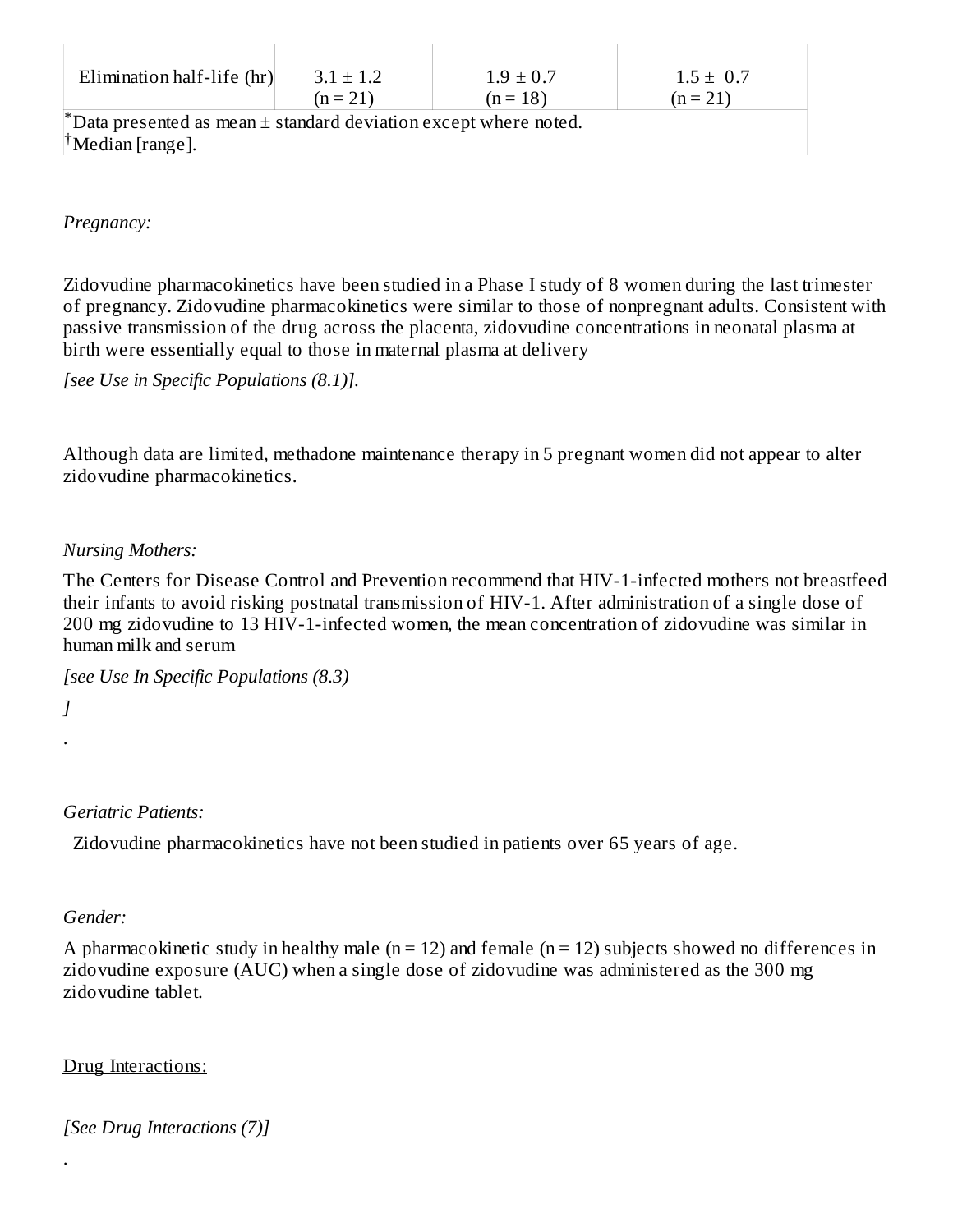| Elimination half-life (hr)                                               | $3.1 \pm 1.2$ | $1.9 \pm 0.7$ | $1.5 \pm 0.7$ |
|--------------------------------------------------------------------------|---------------|---------------|---------------|
|                                                                          | $(n = 21)$    | $(n = 18)$    | $(n = 21)$    |
| $^*$ Data presented as mean $\pm$ standard deviation except where noted. |               |               |               |
| <sup>†</sup> Median [range].                                             |               |               |               |

*Pregnancy:*

Zidovudine pharmacokinetics have been studied in a Phase I study of 8 women during the last trimester of pregnancy. Zidovudine pharmacokinetics were similar to those of nonpregnant adults. Consistent with passive transmission of the drug across the placenta, zidovudine concentrations in neonatal plasma at birth were essentially equal to those in maternal plasma at delivery

*[see Use in Specific Populations (8.1)].*

Although data are limited, methadone maintenance therapy in 5 pregnant women did not appear to alter zidovudine pharmacokinetics.

#### *Nursing Mothers:*

The Centers for Disease Control and Prevention recommend that HIV-1-infected mothers not breastfeed their infants to avoid risking postnatal transmission of HIV-1. After administration of a single dose of 200 mg zidovudine to 13 HIV-1-infected women, the mean concentration of zidovudine was similar in human milk and serum

```
[see Use In Specific Populations (8.3)
```
*]* .

### *Geriatric Patients:*

Zidovudine pharmacokinetics have not been studied in patients over 65 years of age.

#### *Gender:*

.

A pharmacokinetic study in healthy male ( $n = 12$ ) and female ( $n = 12$ ) subjects showed no differences in zidovudine exposure (AUC) when a single dose of zidovudine was administered as the 300 mg zidovudine tablet.

#### Drug Interactions:

*[See Drug Interactions (7)]*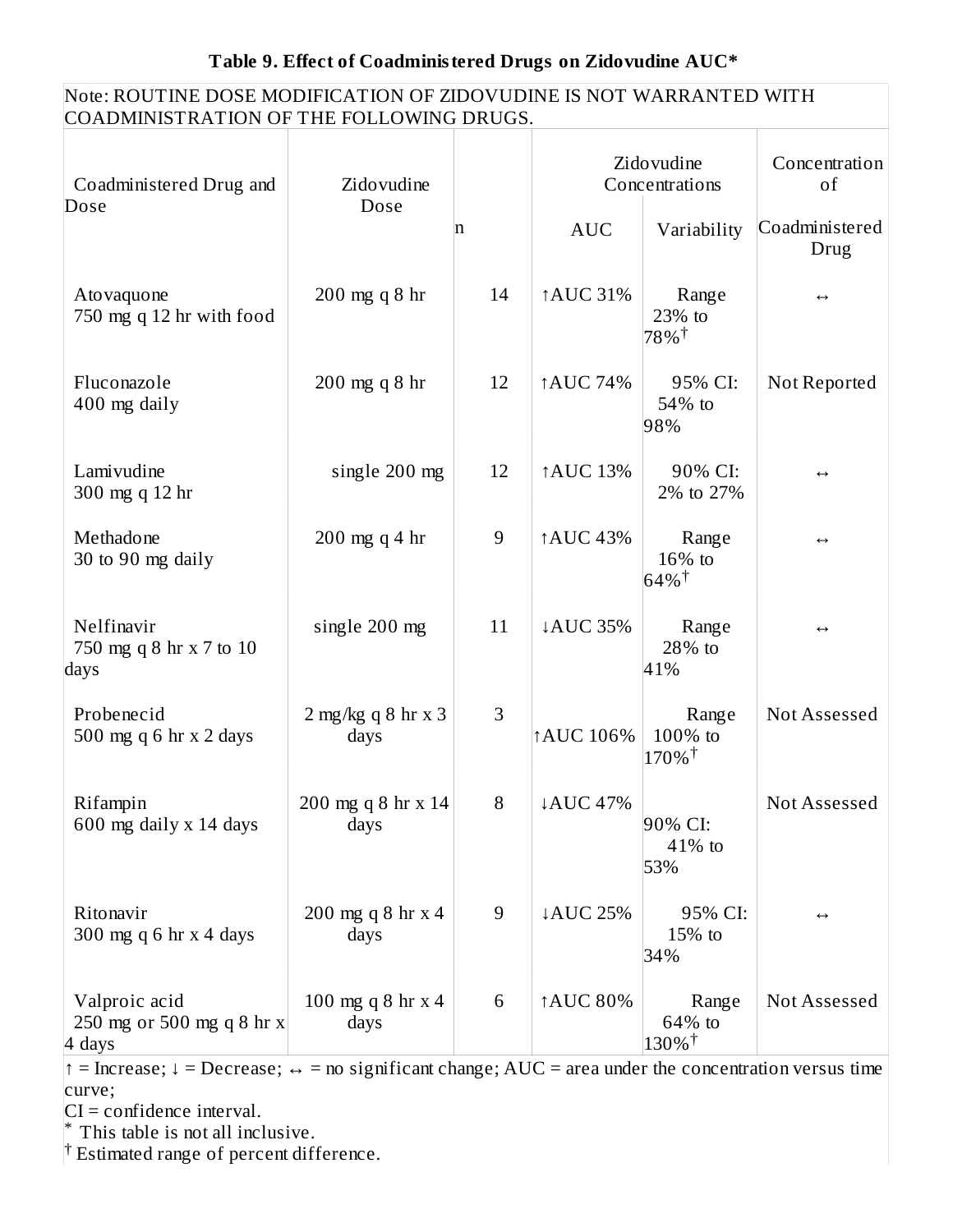#### Note: ROUTINE DOSE MODIFICATION OF ZIDOVUDINE IS NOT WARRANTED WITH COADMINISTRATION OF THE FOLLOWING DRUGS.

| Coadministered Drug and<br>Dose                      | Zidovudine<br>Dose           |    |                 | Zidovudine<br>Concentrations             | Concentration<br>of    |
|------------------------------------------------------|------------------------------|----|-----------------|------------------------------------------|------------------------|
|                                                      |                              | n  | <b>AUC</b>      | Variability                              | Coadministered<br>Drug |
| Atovaquone<br>750 mg q 12 hr with food               | 200 mg q 8 hr                | 14 | ↑AUC 31%        | Range<br>23% to<br>78%†                  | $\leftrightarrow$      |
| Fluconazole<br>400 mg daily                          | 200 mg q 8 hr                | 12 | ↑AUC 74%        | 95% CI:<br>54% to<br>98%                 | Not Reported           |
| Lamivudine<br>300 mg q 12 hr                         | single 200 mg                | 12 | ↑AUC 13%        | 90% CI:<br>2% to 27%                     | $\leftrightarrow$      |
| Methadone<br>30 to 90 mg daily                       | $200$ mg q 4 hr              | 9  | ↑AUC 43%        | Range<br>16% to<br>$64\%$ <sup>†</sup>   | $\leftrightarrow$      |
| Nelfinavir<br>750 mg q 8 hr x 7 to 10<br>days        | single 200 mg                | 11 | ↓AUC 35%        | Range<br>28% to<br>41%                   | $\leftrightarrow$      |
| Probenecid<br>500 mg q 6 hr x 2 days                 | $2$ mg/kg q 8 hr x 3<br>days | 3  | <b>AUC 106%</b> | Range<br>100% to<br>$170\%$ <sup>†</sup> | Not Assessed           |
| Rifampin<br>600 mg daily x 14 days                   | 200 mg q 8 hr x 14<br>days   | 8  | ↓AUC 47%        | 90% CI:<br>41% to<br>53%                 | Not Assessed           |
| Ritonavir<br>300 mg q 6 hr $x$ 4 days                | 200 mg q 8 hr x 4<br>days    | 9  | ↓AUC 25%        | 95% CI:<br>15% to<br>34%                 | $\leftrightarrow$      |
| Valproic acid<br>250 mg or 500 mg q 8 hr x<br>4 days | 100 mg q 8 hr $x$ 4<br>days  | 6  | ↑AUC 80%        | Range<br>64% to<br>$130\%$ †             | Not Assessed           |

 $\dagger$  = Increase; ↓ = Decrease; ↔ = no significant change; AUC = area under the concentration versus time curve;

CI = confidence interval.

This table is not all inclusive. \*

<sup>†</sup> Estimated range of percent difference.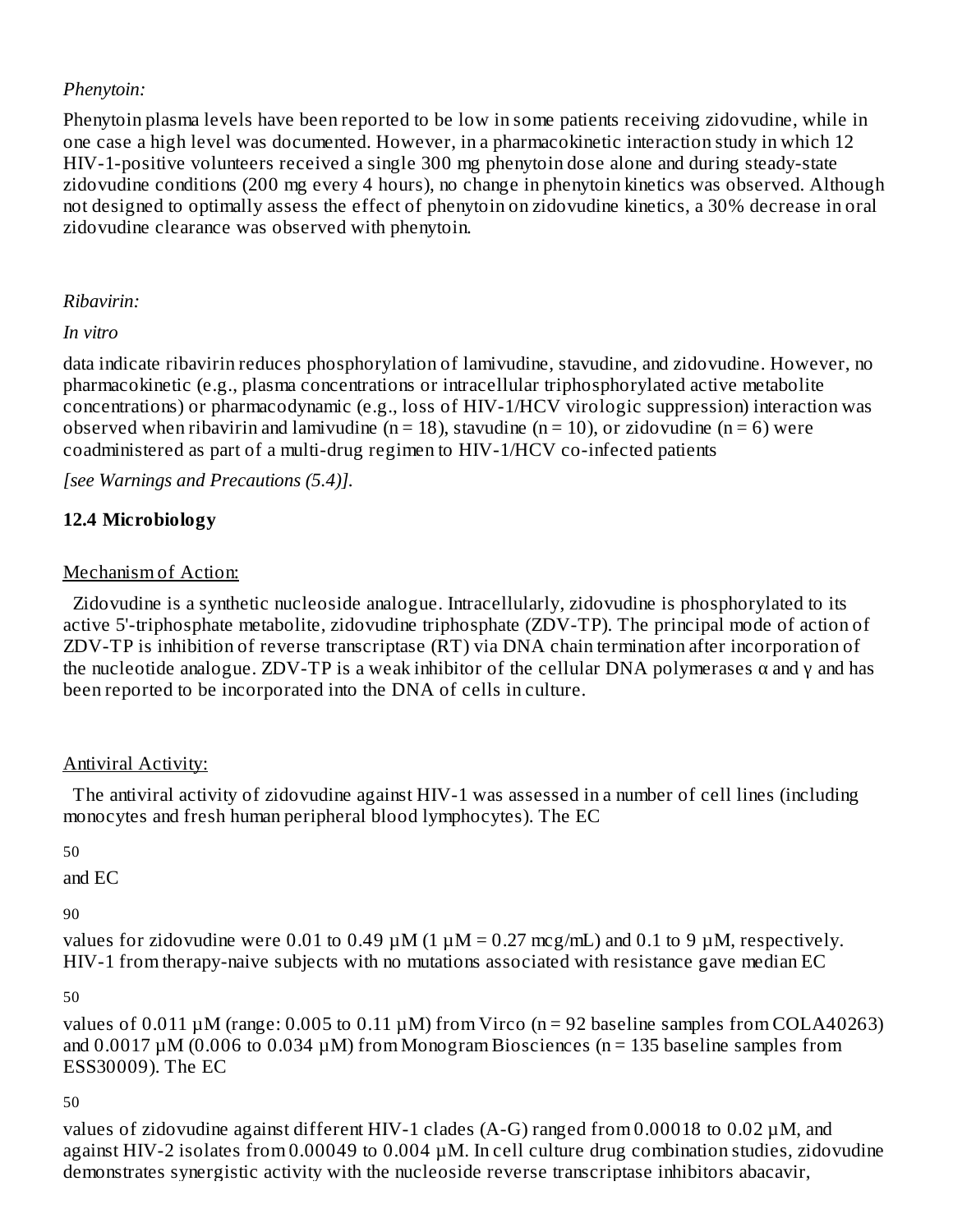### *Phenytoin:*

Phenytoin plasma levels have been reported to be low in some patients receiving zidovudine, while in one case a high level was documented. However, in a pharmacokinetic interaction study in which 12 HIV-1-positive volunteers received a single 300 mg phenytoin dose alone and during steady-state zidovudine conditions (200 mg every 4 hours), no change in phenytoin kinetics was observed. Although not designed to optimally assess the effect of phenytoin on zidovudine kinetics, a 30% decrease in oral zidovudine clearance was observed with phenytoin.

### *Ribavirin:*

*In vitro*

data indicate ribavirin reduces phosphorylation of lamivudine, stavudine, and zidovudine. However, no pharmacokinetic (e.g., plasma concentrations or intracellular triphosphorylated active metabolite concentrations) or pharmacodynamic (e.g., loss of HIV-1/HCV virologic suppression) interaction was observed when ribavirin and lamivudine ( $n = 18$ ), stavudine ( $n = 10$ ), or zidovudine ( $n = 6$ ) were coadministered as part of a multi-drug regimen to HIV-1/HCV co-infected patients

*[see Warnings and Precautions (5.4)].*

## **12.4 Microbiology**

### Mechanism of Action:

Zidovudine is a synthetic nucleoside analogue. Intracellularly, zidovudine is phosphorylated to its active 5'-triphosphate metabolite, zidovudine triphosphate (ZDV-TP). The principal mode of action of ZDV-TP is inhibition of reverse transcriptase (RT) via DNA chain termination after incorporation of the nucleotide analogue. ZDV-TP is a weak inhibitor of the cellular DNA polymerases  $\alpha$  and  $\gamma$  and has been reported to be incorporated into the DNA of cells in culture.

### Antiviral Activity:

The antiviral activity of zidovudine against HIV-1 was assessed in a number of cell lines (including monocytes and fresh human peripheral blood lymphocytes). The EC

```
50
```
and EC

90

values for zidovudine were 0.01 to 0.49  $\mu$ M (1  $\mu$ M = 0.27 mcg/mL) and 0.1 to 9  $\mu$ M, respectively. HIV-1 from therapy-naive subjects with no mutations associated with resistance gave median EC

50

values of  $0.011 \mu$ M (range: 0.005 to 0.11  $\mu$ M) from Virco (n = 92 baseline samples from COLA40263) and  $0.0017 \mu$ M (0.006 to 0.034  $\mu$ M) from Monogram Biosciences (n = 135 baseline samples from ESS30009). The EC

### 50

values of zidovudine against different HIV-1 clades (A-G) ranged from 0.00018 to 0.02 µM, and against HIV-2 isolates from 0.00049 to 0.004 µM. In cell culture drug combination studies, zidovudine demonstrates synergistic activity with the nucleoside reverse transcriptase inhibitors abacavir,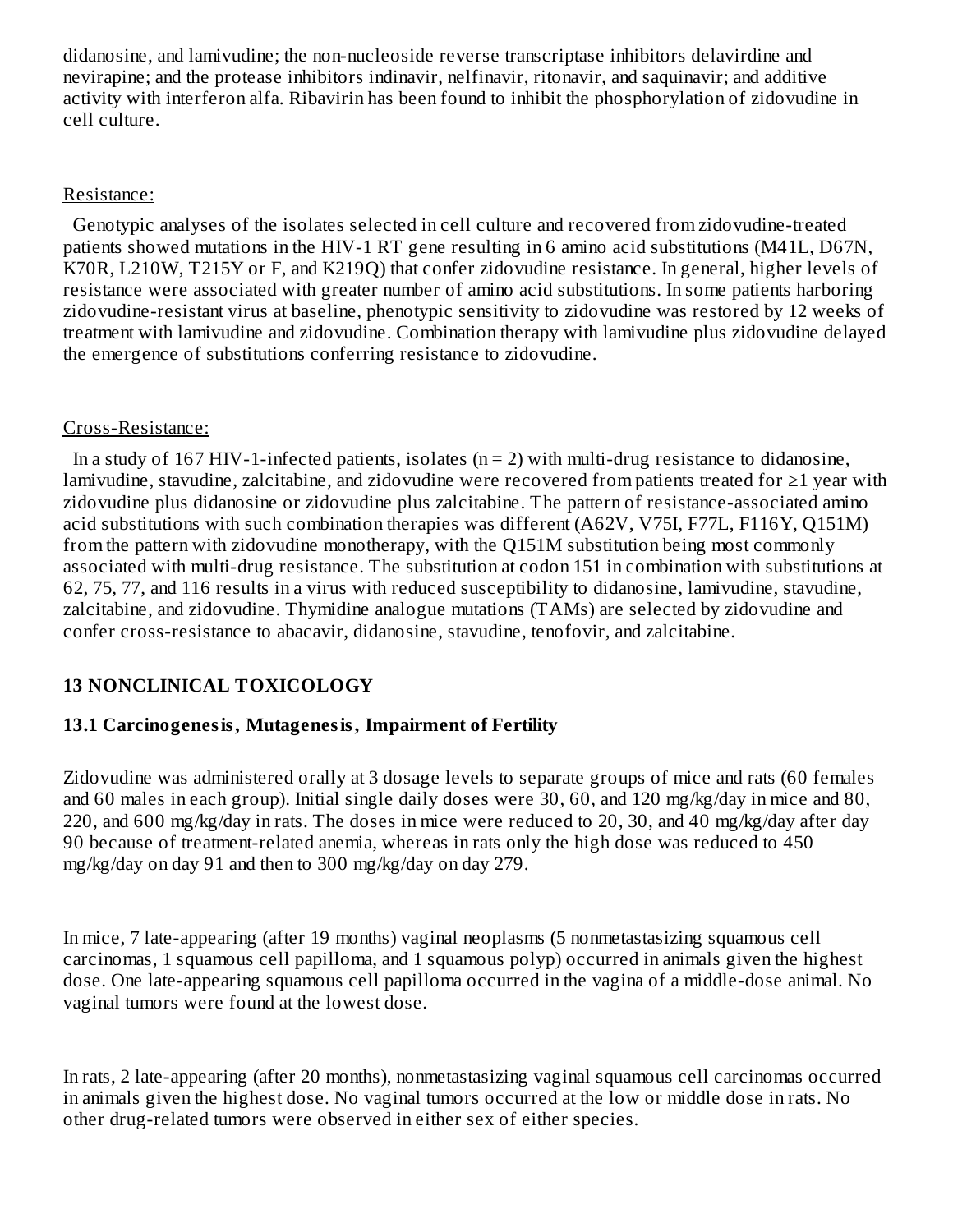didanosine, and lamivudine; the non-nucleoside reverse transcriptase inhibitors delavirdine and nevirapine; and the protease inhibitors indinavir, nelfinavir, ritonavir, and saquinavir; and additive activity with interferon alfa. Ribavirin has been found to inhibit the phosphorylation of zidovudine in cell culture.

#### Resistance:

Genotypic analyses of the isolates selected in cell culture and recovered from zidovudine-treated patients showed mutations in the HIV-1 RT gene resulting in 6 amino acid substitutions (M41L, D67N, K70R, L210W, T215Y or F, and K219Q) that confer zidovudine resistance. In general, higher levels of resistance were associated with greater number of amino acid substitutions. In some patients harboring zidovudine-resistant virus at baseline, phenotypic sensitivity to zidovudine was restored by 12 weeks of treatment with lamivudine and zidovudine. Combination therapy with lamivudine plus zidovudine delayed the emergence of substitutions conferring resistance to zidovudine.

### Cross-Resistance:

In a study of 167 HIV-1-infected patients, isolates  $(n = 2)$  with multi-drug resistance to didanosine, lamivudine, stavudine, zalcitabine, and zidovudine were recovered from patients treated for ≥1 year with zidovudine plus didanosine or zidovudine plus zalcitabine. The pattern of resistance-associated amino acid substitutions with such combination therapies was different (A62V, V75I, F77L, F116Y, Q151M) from the pattern with zidovudine monotherapy, with the Q151M substitution being most commonly associated with multi-drug resistance. The substitution at codon 151 in combination with substitutions at 62, 75, 77, and 116 results in a virus with reduced susceptibility to didanosine, lamivudine, stavudine, zalcitabine, and zidovudine. Thymidine analogue mutations (TAMs) are selected by zidovudine and confer cross-resistance to abacavir, didanosine, stavudine, tenofovir, and zalcitabine.

### **13 NONCLINICAL TOXICOLOGY**

### **13.1 Carcinogenesis, Mutagenesis, Impairment of Fertility**

Zidovudine was administered orally at 3 dosage levels to separate groups of mice and rats (60 females and 60 males in each group). Initial single daily doses were 30, 60, and 120 mg/kg/day in mice and 80, 220, and 600 mg/kg/day in rats. The doses in mice were reduced to 20, 30, and 40 mg/kg/day after day 90 because of treatment-related anemia, whereas in rats only the high dose was reduced to 450 mg/kg/day on day 91 and then to 300 mg/kg/day on day 279.

In mice, 7 late-appearing (after 19 months) vaginal neoplasms (5 nonmetastasizing squamous cell carcinomas, 1 squamous cell papilloma, and 1 squamous polyp) occurred in animals given the highest dose. One late-appearing squamous cell papilloma occurred in the vagina of a middle-dose animal. No vaginal tumors were found at the lowest dose.

In rats, 2 late-appearing (after 20 months), nonmetastasizing vaginal squamous cell carcinomas occurred in animals given the highest dose. No vaginal tumors occurred at the low or middle dose in rats. No other drug-related tumors were observed in either sex of either species.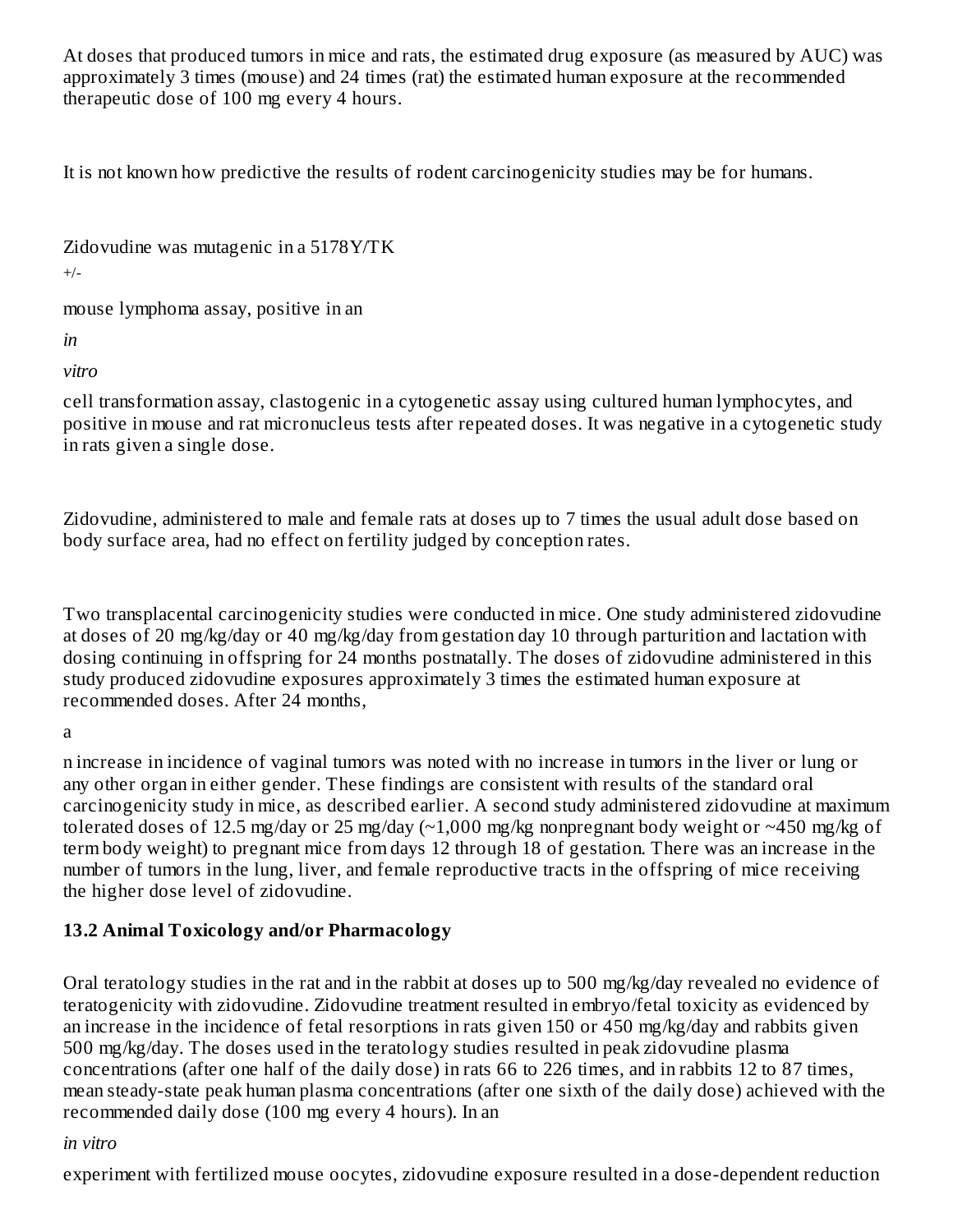At doses that produced tumors in mice and rats, the estimated drug exposure (as measured by AUC) was approximately 3 times (mouse) and 24 times (rat) the estimated human exposure at the recommended therapeutic dose of 100 mg every 4 hours.

It is not known how predictive the results of rodent carcinogenicity studies may be for humans.

Zidovudine was mutagenic in a 5178Y/TK

 $+/-$ 

mouse lymphoma assay, positive in an

*in*

*vitro*

cell transformation assay, clastogenic in a cytogenetic assay using cultured human lymphocytes, and positive in mouse and rat micronucleus tests after repeated doses. It was negative in a cytogenetic study in rats given a single dose.

Zidovudine, administered to male and female rats at doses up to 7 times the usual adult dose based on body surface area, had no effect on fertility judged by conception rates.

Two transplacental carcinogenicity studies were conducted in mice. One study administered zidovudine at doses of 20 mg/kg/day or 40 mg/kg/day from gestation day 10 through parturition and lactation with dosing continuing in offspring for 24 months postnatally. The doses of zidovudine administered in this study produced zidovudine exposures approximately 3 times the estimated human exposure at recommended doses. After 24 months,

a

n increase in incidence of vaginal tumors was noted with no increase in tumors in the liver or lung or any other organ in either gender. These findings are consistent with results of the standard oral carcinogenicity study in mice, as described earlier. A second study administered zidovudine at maximum tolerated doses of 12.5 mg/day or 25 mg/day (~1,000 mg/kg nonpregnant body weight or ~450 mg/kg of term body weight) to pregnant mice from days 12 through 18 of gestation. There was an increase in the number of tumors in the lung, liver, and female reproductive tracts in the offspring of mice receiving the higher dose level of zidovudine.

### **13.2 Animal Toxicology and/or Pharmacology**

Oral teratology studies in the rat and in the rabbit at doses up to 500 mg/kg/day revealed no evidence of teratogenicity with zidovudine. Zidovudine treatment resulted in embryo/fetal toxicity as evidenced by an increase in the incidence of fetal resorptions in rats given 150 or 450 mg/kg/day and rabbits given 500 mg/kg/day. The doses used in the teratology studies resulted in peak zidovudine plasma concentrations (after one half of the daily dose) in rats 66 to 226 times, and in rabbits 12 to 87 times, mean steady-state peak human plasma concentrations (after one sixth of the daily dose) achieved with the recommended daily dose (100 mg every 4 hours). In an

### *in vitro*

experiment with fertilized mouse oocytes, zidovudine exposure resulted in a dose-dependent reduction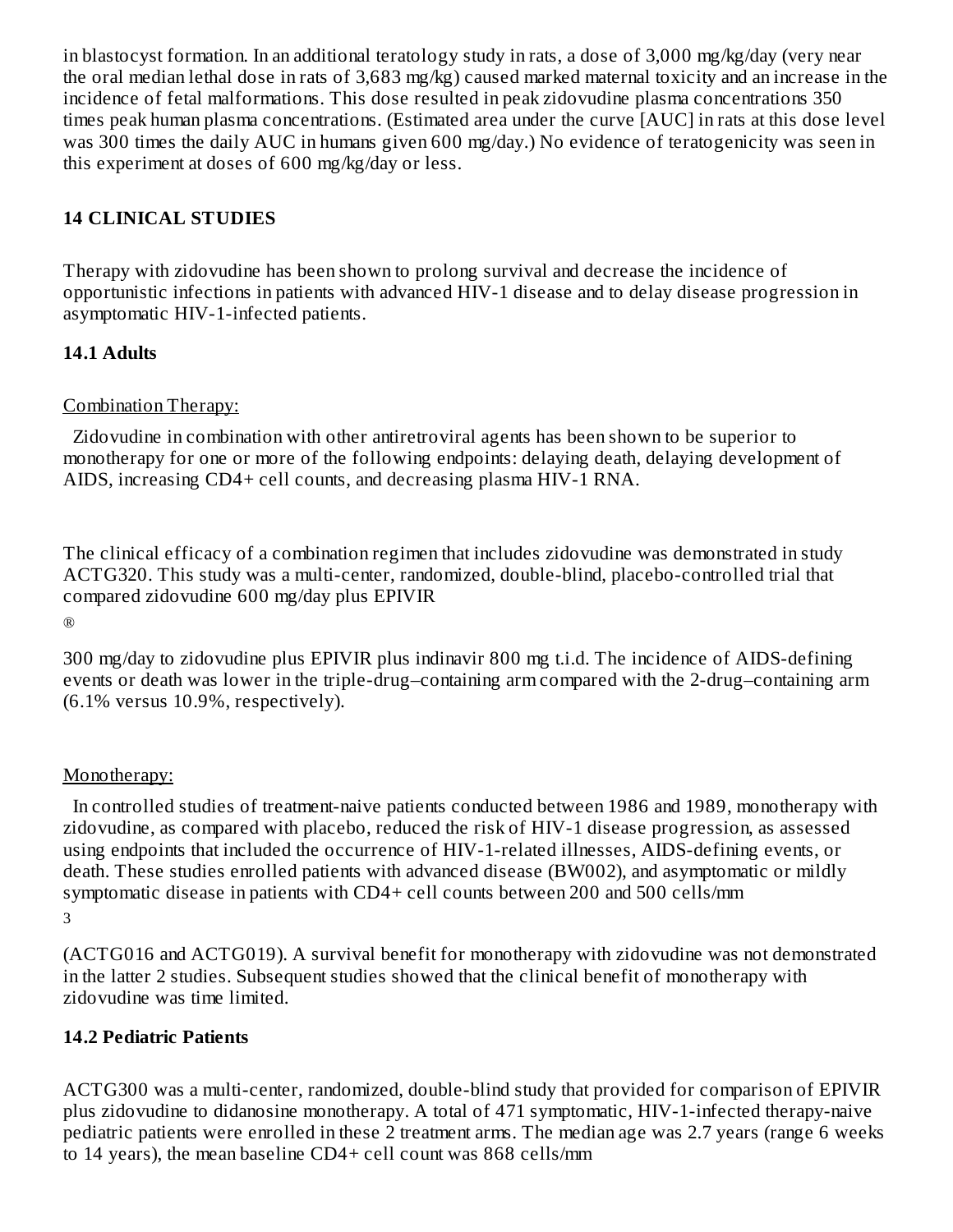in blastocyst formation. In an additional teratology study in rats, a dose of 3,000 mg/kg/day (very near the oral median lethal dose in rats of 3,683 mg/kg) caused marked maternal toxicity and an increase in the incidence of fetal malformations. This dose resulted in peak zidovudine plasma concentrations 350 times peak human plasma concentrations. (Estimated area under the curve [AUC] in rats at this dose level was 300 times the daily AUC in humans given 600 mg/day.) No evidence of teratogenicity was seen in this experiment at doses of 600 mg/kg/day or less.

### **14 CLINICAL STUDIES**

Therapy with zidovudine has been shown to prolong survival and decrease the incidence of opportunistic infections in patients with advanced HIV-1 disease and to delay disease progression in asymptomatic HIV-1-infected patients.

### **14.1 Adults**

#### Combination Therapy:

Zidovudine in combination with other antiretroviral agents has been shown to be superior to monotherapy for one or more of the following endpoints: delaying death, delaying development of AIDS, increasing CD4+ cell counts, and decreasing plasma HIV-1 RNA.

The clinical efficacy of a combination regimen that includes zidovudine was demonstrated in study ACTG320. This study was a multi-center, randomized, double-blind, placebo-controlled trial that compared zidovudine 600 mg/day plus EPIVIR

®

300 mg/day to zidovudine plus EPIVIR plus indinavir 800 mg t.i.d. The incidence of AIDS-defining events or death was lower in the triple-drug–containing arm compared with the 2-drug–containing arm  $(6.1\%$  versus  $10.9\%$ , respectively).

#### Monotherapy:

In controlled studies of treatment-naive patients conducted between 1986 and 1989, monotherapy with zidovudine, as compared with placebo, reduced the risk of HIV-1 disease progression, as assessed using endpoints that included the occurrence of HIV-1-related illnesses, AIDS-defining events, or death. These studies enrolled patients with advanced disease (BW002), and asymptomatic or mildly symptomatic disease in patients with CD4+ cell counts between 200 and 500 cells/mm 3

(ACTG016 and ACTG019). A survival benefit for monotherapy with zidovudine was not demonstrated in the latter 2 studies. Subsequent studies showed that the clinical benefit of monotherapy with zidovudine was time limited.

### **14.2 Pediatric Patients**

ACTG300 was a multi-center, randomized, double-blind study that provided for comparison of EPIVIR plus zidovudine to didanosine monotherapy. A total of 471 symptomatic, HIV-1-infected therapy-naive pediatric patients were enrolled in these 2 treatment arms. The median age was 2.7 years (range 6 weeks to 14 years), the mean baseline CD4+ cell count was 868 cells/mm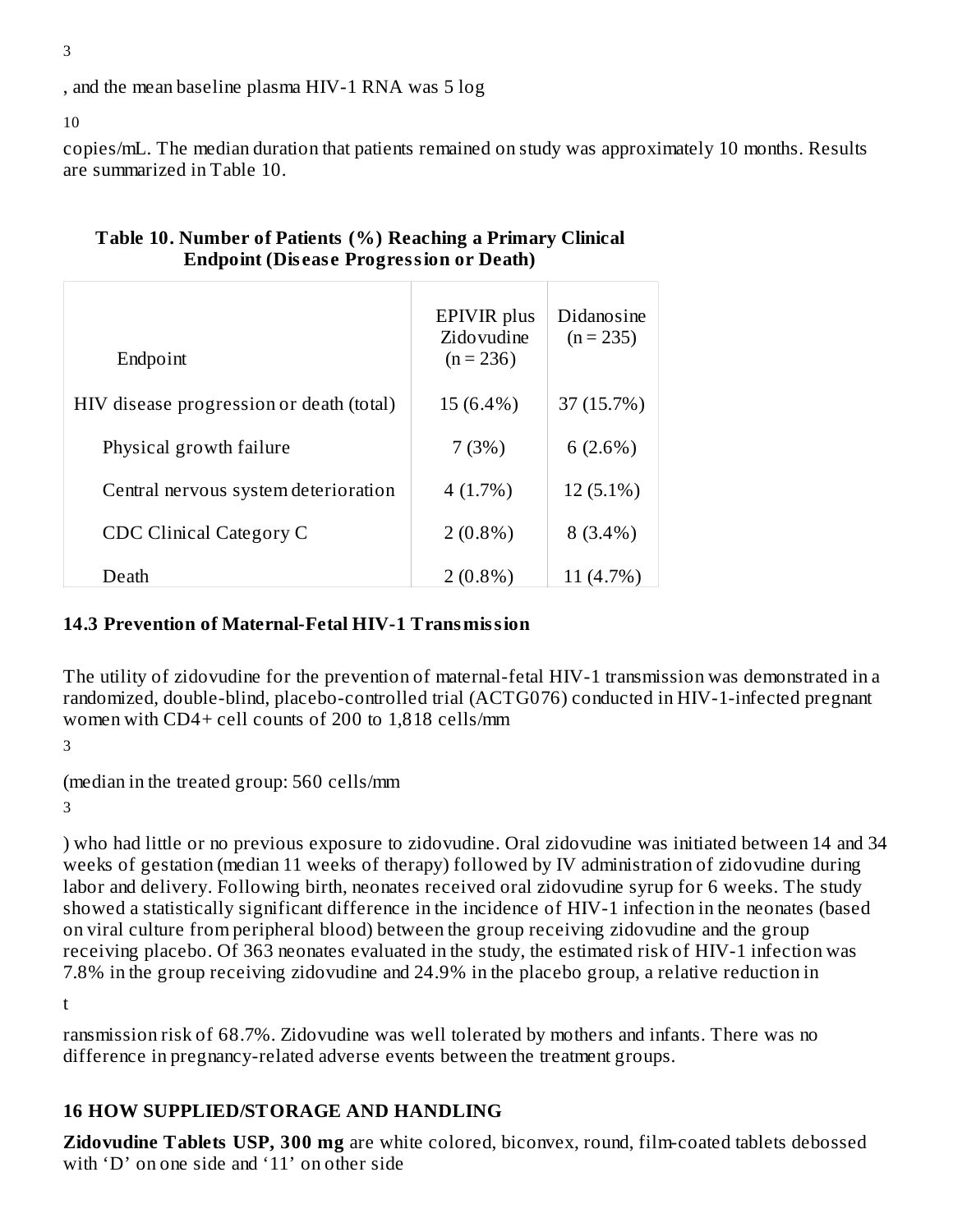, and the mean baseline plasma HIV-1 RNA was 5 log

10

copies/mL. The median duration that patients remained on study was approximately 10 months. Results are summarized in Table 10.

|                                          | EPIVIR plus<br>Zidovudine | Didanosine<br>$(n = 235)$ |
|------------------------------------------|---------------------------|---------------------------|
| Endpoint                                 | $(n = 236)$               |                           |
| HIV disease progression or death (total) | 15 (6.4%)                 | 37 (15.7%)                |
| Physical growth failure                  | 7(3%)                     | 6(2.6%)                   |
| Central nervous system deterioration     | 4(1.7%)                   | $12(5.1\%)$               |
| CDC Clinical Category C                  | $2(0.8\%)$                | $8(3.4\%)$                |
| Death                                    | $2(0.8\%)$                | 11 (4.7%)                 |

### **Table 10. Number of Patients (%) Reaching a Primary Clinical Endpoint (Dis eas e Progression or Death)**

### **14.3 Prevention of Maternal-Fetal HIV-1 Transmission**

The utility of zidovudine for the prevention of maternal-fetal HIV-1 transmission was demonstrated in a randomized, double-blind, placebo-controlled trial (ACTG076) conducted in HIV-1-infected pregnant women with CD4+ cell counts of 200 to 1,818 cells/mm

3

(median in the treated group: 560 cells/mm

3

) who had little or no previous exposure to zidovudine. Oral zidovudine was initiated between 14 and 34 weeks of gestation (median 11 weeks of therapy) followed by IV administration of zidovudine during labor and delivery. Following birth, neonates received oral zidovudine syrup for 6 weeks. The study showed a statistically significant difference in the incidence of HIV-1 infection in the neonates (based on viral culture from peripheral blood) between the group receiving zidovudine and the group receiving placebo. Of 363 neonates evaluated in the study, the estimated risk of HIV-1 infection was 7.8% in the group receiving zidovudine and 24.9% in the placebo group, a relative reduction in

t

ransmission risk of 68.7%. Zidovudine was well tolerated by mothers and infants. There was no difference in pregnancy-related adverse events between the treatment groups.

### **16 HOW SUPPLIED/STORAGE AND HANDLING**

**Zidovudine Tablets USP, 300 mg** are white colored, biconvex, round, film-coated tablets debossed with 'D' on one side and '11' on other side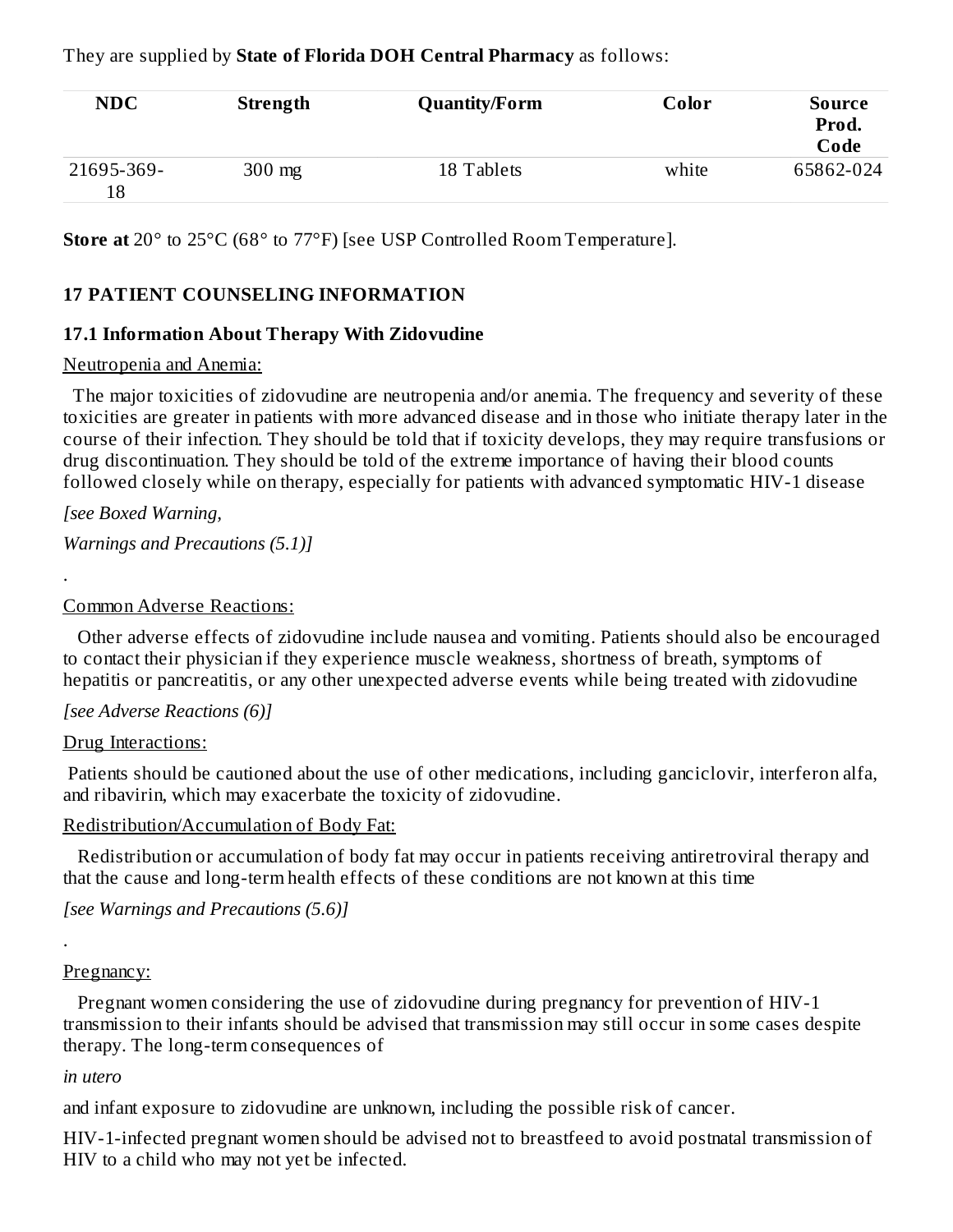They are supplied by **State of Florida DOH Central Pharmacy** as follows:

| <b>NDC</b>       | Strength | <b>Quantity/Form</b> | Color | Source<br>Prod.<br>Code |
|------------------|----------|----------------------|-------|-------------------------|
| 21695-369-<br>18 | $300$ mg | 18 Tablets           | white | 65862-024               |

**Store at** 20° to 25°C (68° to 77°F) [see USP Controlled Room Temperature].

### **17 PATIENT COUNSELING INFORMATION**

#### **17.1 Information About Therapy With Zidovudine**

#### Neutropenia and Anemia:

The major toxicities of zidovudine are neutropenia and/or anemia. The frequency and severity of these toxicities are greater in patients with more advanced disease and in those who initiate therapy later in the course of their infection. They should be told that if toxicity develops, they may require transfusions or drug discontinuation. They should be told of the extreme importance of having their blood counts followed closely while on therapy, especially for patients with advanced symptomatic HIV-1 disease

*[see Boxed Warning,*

*Warnings and Precautions (5.1)]*

#### Common Adverse Reactions:

Other adverse effects of zidovudine include nausea and vomiting. Patients should also be encouraged to contact their physician if they experience muscle weakness, shortness of breath, symptoms of hepatitis or pancreatitis, or any other unexpected adverse events while being treated with zidovudine

### *[see Adverse Reactions (6)]*

#### Drug Interactions:

Patients should be cautioned about the use of other medications, including ganciclovir, interferon alfa, and ribavirin, which may exacerbate the toxicity of zidovudine.

#### Redistribution/Accumulation of Body Fat:

Redistribution or accumulation of body fat may occur in patients receiving antiretroviral therapy and that the cause and long-term health effects of these conditions are not known at this time

*[see Warnings and Precautions (5.6)]*

# .

.

#### Pregnancy:

Pregnant women considering the use of zidovudine during pregnancy for prevention of HIV-1 transmission to their infants should be advised that transmission may still occur in some cases despite therapy. The long-term consequences of

#### *in utero*

and infant exposure to zidovudine are unknown, including the possible risk of cancer.

HIV-1-infected pregnant women should be advised not to breastfeed to avoid postnatal transmission of HIV to a child who may not yet be infected.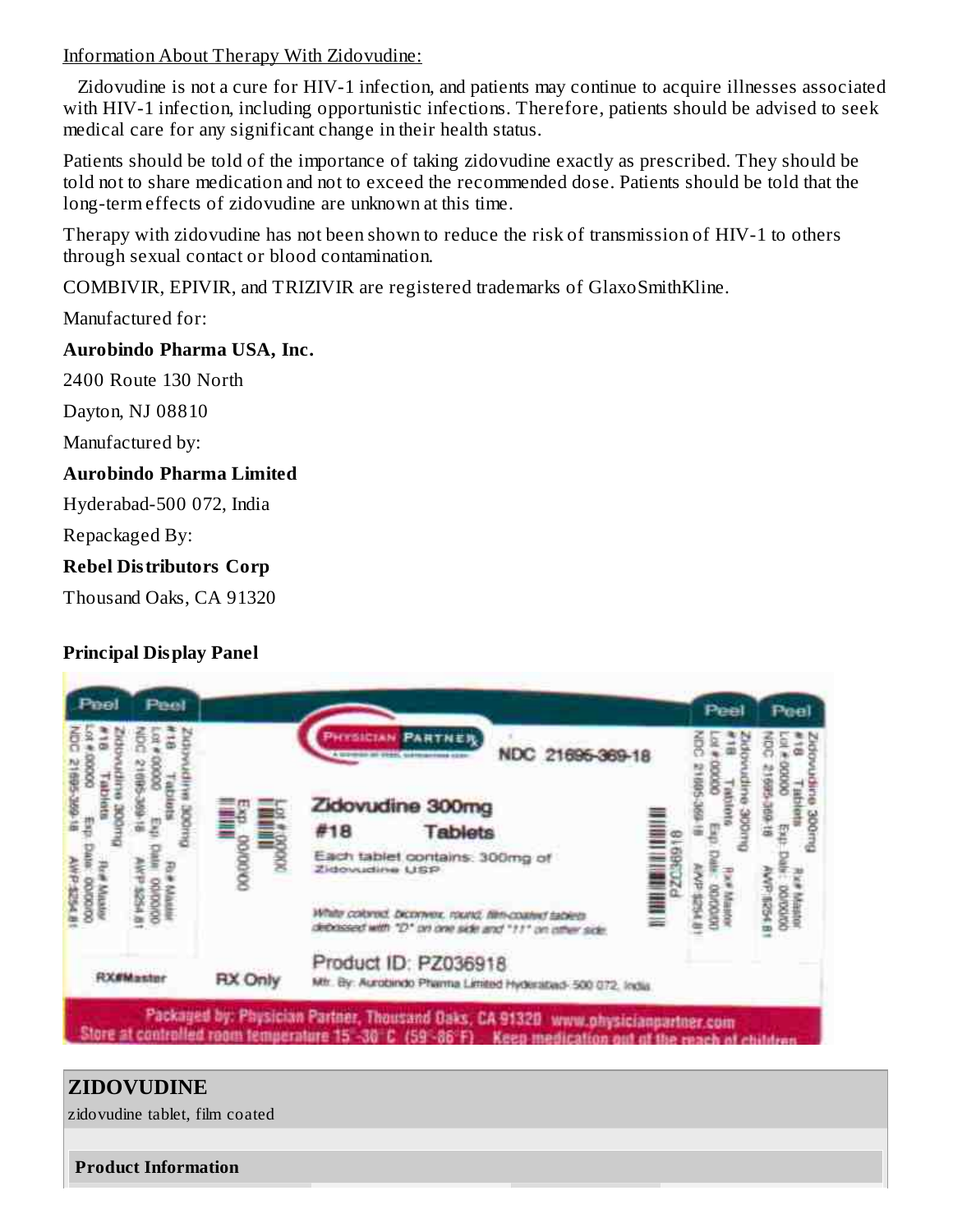Information About Therapy With Zidovudine:

Zidovudine is not a cure for HIV-1 infection, and patients may continue to acquire illnesses associated with HIV-1 infection, including opportunistic infections. Therefore, patients should be advised to seek medical care for any significant change in their health status.

Patients should be told of the importance of taking zidovudine exactly as prescribed. They should be told not to share medication and not to exceed the recommended dose. Patients should be told that the long-term effects of zidovudine are unknown at this time.

Therapy with zidovudine has not been shown to reduce the risk of transmission of HIV-1 to others through sexual contact or blood contamination.

COMBIVIR, EPIVIR, and TRIZIVIR are registered trademarks of GlaxoSmithKline.

Manufactured for:

### **Aurobindo Pharma USA, Inc.**

2400 Route 130 North

Dayton, NJ 08810

Manufactured by:

### **Aurobindo Pharma Limited**

Hyderabad-500 072, India

Repackaged By:

## **Rebel Distributors Corp**

Thousand Oaks, CA 91320

# **Principal Display Panel**



# **ZIDOVUDINE**

zidovudine tablet, film coated

**Product Information**